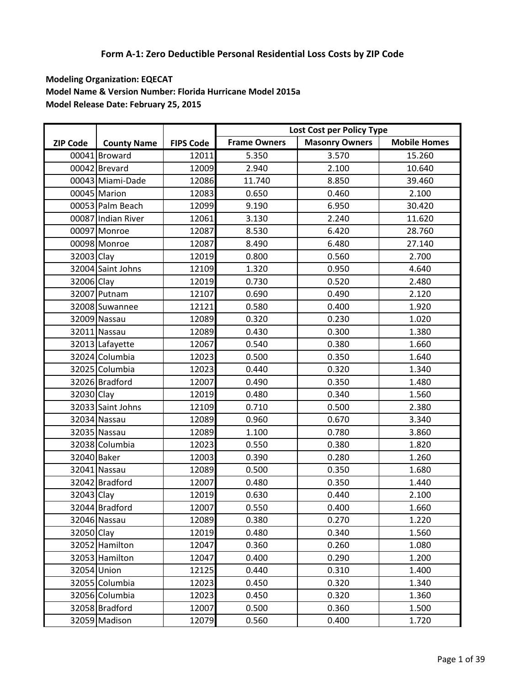|                 |                    |                  |                     | Lost Cost per Policy Type |                     |
|-----------------|--------------------|------------------|---------------------|---------------------------|---------------------|
| <b>ZIP Code</b> | <b>County Name</b> | <b>FIPS Code</b> | <b>Frame Owners</b> | <b>Masonry Owners</b>     | <b>Mobile Homes</b> |
|                 | 00041 Broward      | 12011            | 5.350               | 3.570                     | 15.260              |
|                 | 00042 Brevard      | 12009            | 2.940               | 2.100                     | 10.640              |
|                 | 00043 Miami-Dade   | 12086            | 11.740              | 8.850                     | 39.460              |
|                 | 00045 Marion       | 12083            | 0.650               | 0.460                     | 2.100               |
|                 | 00053 Palm Beach   | 12099            | 9.190               | 6.950                     | 30.420              |
|                 | 00087 Indian River | 12061            | 3.130               | 2.240                     | 11.620              |
|                 | 00097 Monroe       | 12087            | 8.530               | 6.420                     | 28.760              |
|                 | 00098 Monroe       | 12087            | 8.490               | 6.480                     | 27.140              |
| 32003 Clay      |                    | 12019            | 0.800               | 0.560                     | 2.700               |
|                 | 32004 Saint Johns  | 12109            | 1.320               | 0.950                     | 4.640               |
| 32006 Clay      |                    | 12019            | 0.730               | 0.520                     | 2.480               |
|                 | 32007 Putnam       | 12107            | 0.690               | 0.490                     | 2.120               |
|                 | 32008 Suwannee     | 12121            | 0.580               | 0.400                     | 1.920               |
|                 | 32009 Nassau       | 12089            | 0.320               | 0.230                     | 1.020               |
|                 | 32011 Nassau       | 12089            | 0.430               | 0.300                     | 1.380               |
|                 | 32013 Lafayette    | 12067            | 0.540               | 0.380                     | 1.660               |
|                 | 32024 Columbia     | 12023            | 0.500               | 0.350                     | 1.640               |
|                 | 32025 Columbia     | 12023            | 0.440               | 0.320                     | 1.340               |
|                 | 32026 Bradford     | 12007            | 0.490               | 0.350                     | 1.480               |
| 32030 Clay      |                    | 12019            | 0.480               | 0.340                     | 1.560               |
|                 | 32033 Saint Johns  | 12109            | 0.710               | 0.500                     | 2.380               |
|                 | 32034 Nassau       | 12089            | 0.960               | 0.670                     | 3.340               |
|                 | 32035 Nassau       | 12089            | 1.100               | 0.780                     | 3.860               |
|                 | 32038 Columbia     | 12023            | 0.550               | 0.380                     | 1.820               |
| 32040 Baker     |                    | 12003            | 0.390               | 0.280                     | 1.260               |
|                 | 32041 Nassau       | 12089            | 0.500               | 0.350                     | 1.680               |
|                 | 32042 Bradford     | 12007            | 0.480               | 0.350                     | 1.440               |
| 32043 Clay      |                    | 12019            | 0.630               | 0.440                     | 2.100               |
|                 | 32044 Bradford     | 12007            | 0.550               | 0.400                     | 1.660               |
|                 | 32046 Nassau       | 12089            | 0.380               | 0.270                     | 1.220               |
| 32050 Clay      |                    | 12019            | 0.480               | 0.340                     | 1.560               |
|                 | 32052 Hamilton     | 12047            | 0.360               | 0.260                     | 1.080               |
|                 | 32053 Hamilton     | 12047            | 0.400               | 0.290                     | 1.200               |
|                 | 32054 Union        | 12125            | 0.440               | 0.310                     | 1.400               |
|                 | 32055 Columbia     | 12023            | 0.450               | 0.320                     | 1.340               |
|                 | 32056 Columbia     | 12023            | 0.450               | 0.320                     | 1.360               |
|                 | 32058 Bradford     | 12007            | 0.500               | 0.360                     | 1.500               |
|                 | 32059 Madison      | 12079            | 0.560               | 0.400                     | 1.720               |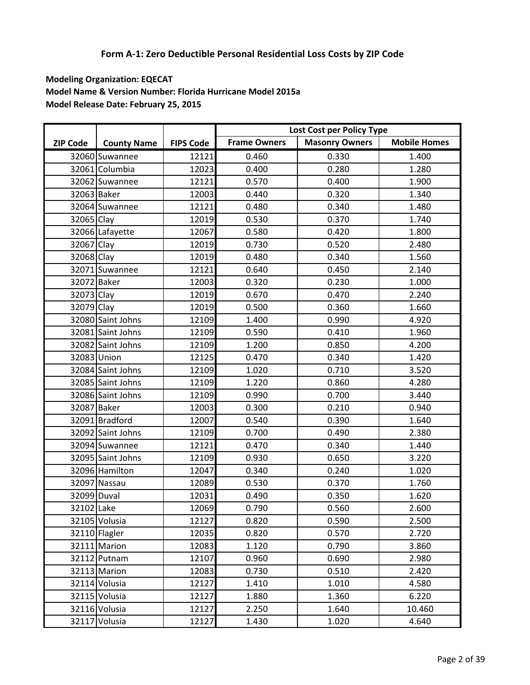|                 |                    |                  |                     | Lost Cost per Policy Type |                     |
|-----------------|--------------------|------------------|---------------------|---------------------------|---------------------|
| <b>ZIP Code</b> | <b>County Name</b> | <b>FIPS Code</b> | <b>Frame Owners</b> | <b>Masonry Owners</b>     | <b>Mobile Homes</b> |
|                 | 32060 Suwannee     | 12121            | 0.460               | 0.330                     | 1.400               |
|                 | 32061 Columbia     | 12023            | 0.400               | 0.280                     | 1.280               |
|                 | 32062 Suwannee     | 12121            | 0.570               | 0.400                     | 1.900               |
| 32063 Baker     |                    | 12003            | 0.440               | 0.320                     | 1.340               |
|                 | 32064 Suwannee     | 12121            | 0.480               | 0.340                     | 1.480               |
| 32065 Clay      |                    | 12019            | 0.530               | 0.370                     | 1.740               |
|                 | 32066 Lafayette    | 12067            | 0.580               | 0.420                     | 1.800               |
| 32067 Clay      |                    | 12019            | 0.730               | 0.520                     | 2.480               |
| 32068 Clay      |                    | 12019            | 0.480               | 0.340                     | 1.560               |
|                 | 32071 Suwannee     | 12121            | 0.640               | 0.450                     | 2.140               |
| 32072 Baker     |                    | 12003            | 0.320               | 0.230                     | 1.000               |
| 32073 Clay      |                    | 12019            | 0.670               | 0.470                     | 2.240               |
| 32079 Clay      |                    | 12019            | 0.500               | 0.360                     | 1.660               |
|                 | 32080 Saint Johns  | 12109            | 1.400               | 0.990                     | 4.920               |
|                 | 32081 Saint Johns  | 12109            | 0.590               | 0.410                     | 1.960               |
|                 | 32082 Saint Johns  | 12109            | 1.200               | 0.850                     | 4.200               |
|                 | 32083 Union        | 12125            | 0.470               | 0.340                     | 1.420               |
|                 | 32084 Saint Johns  | 12109            | 1.020               | 0.710                     | 3.520               |
|                 | 32085 Saint Johns  | 12109            | 1.220               | 0.860                     | 4.280               |
|                 | 32086 Saint Johns  | 12109            | 0.990               | 0.700                     | 3.440               |
| 32087 Baker     |                    | 12003            | 0.300               | 0.210                     | 0.940               |
|                 | 32091 Bradford     | 12007            | 0.540               | 0.390                     | 1.640               |
|                 | 32092 Saint Johns  | 12109            | 0.700               | 0.490                     | 2.380               |
|                 | 32094 Suwannee     | 12121            | 0.470               | 0.340                     | 1.440               |
|                 | 32095 Saint Johns  | 12109            | 0.930               | 0.650                     | 3.220               |
|                 | 32096 Hamilton     | 12047            | 0.340               | 0.240                     | 1.020               |
|                 | 32097 Nassau       | 12089            | 0.530               | 0.370                     | 1.760               |
| 32099 Duval     |                    | 12031            | 0.490               | 0.350                     | 1.620               |
| 32102 Lake      |                    | 12069            | 0.790               | 0.560                     | 2.600               |
|                 | 32105 Volusia      | 12127            | 0.820               | 0.590                     | 2.500               |
|                 | 32110 Flagler      | 12035            | 0.820               | 0.570                     | 2.720               |
|                 | 32111 Marion       | 12083            | 1.120               | 0.790                     | 3.860               |
|                 | 32112 Putnam       | 12107            | 0.960               | 0.690                     | 2.980               |
|                 | 32113 Marion       | 12083            | 0.730               | 0.510                     | 2.420               |
|                 | 32114 Volusia      | 12127            | 1.410               | 1.010                     | 4.580               |
|                 | 32115 Volusia      | 12127            | 1.880               | 1.360                     | 6.220               |
|                 | 32116 Volusia      | 12127            | 2.250               | 1.640                     | 10.460              |
|                 | 32117 Volusia      | 12127            | 1.430               | 1.020                     | 4.640               |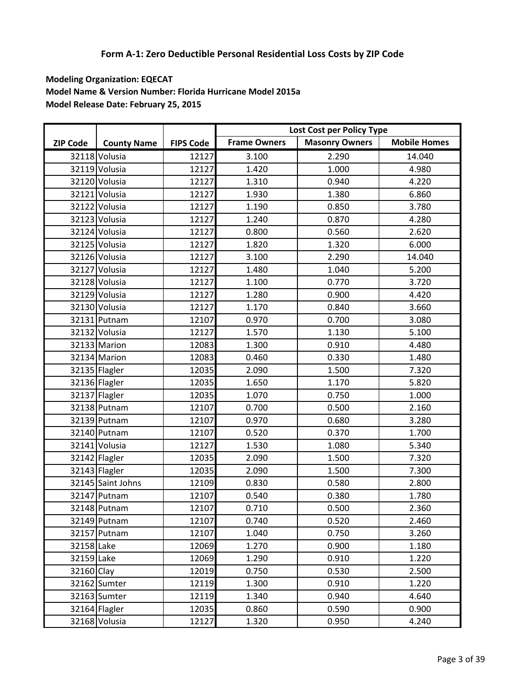|                 |                    |                  |                     | Lost Cost per Policy Type |                     |
|-----------------|--------------------|------------------|---------------------|---------------------------|---------------------|
| <b>ZIP Code</b> | <b>County Name</b> | <b>FIPS Code</b> | <b>Frame Owners</b> | <b>Masonry Owners</b>     | <b>Mobile Homes</b> |
|                 | 32118 Volusia      | 12127            | 3.100               | 2.290                     | 14.040              |
|                 | 32119 Volusia      | 12127            | 1.420               | 1.000                     | 4.980               |
|                 | 32120 Volusia      | 12127            | 1.310               | 0.940                     | 4.220               |
|                 | 32121 Volusia      | 12127            | 1.930               | 1.380                     | 6.860               |
|                 | 32122 Volusia      | 12127            | 1.190               | 0.850                     | 3.780               |
|                 | 32123 Volusia      | 12127            | 1.240               | 0.870                     | 4.280               |
|                 | 32124 Volusia      | 12127            | 0.800               | 0.560                     | 2.620               |
|                 | 32125 Volusia      | 12127            | 1.820               | 1.320                     | 6.000               |
|                 | 32126 Volusia      | 12127            | 3.100               | 2.290                     | 14.040              |
|                 | 32127 Volusia      | 12127            | 1.480               | 1.040                     | 5.200               |
|                 | 32128 Volusia      | 12127            | 1.100               | 0.770                     | 3.720               |
|                 | 32129 Volusia      | 12127            | 1.280               | 0.900                     | 4.420               |
|                 | 32130 Volusia      | 12127            | 1.170               | 0.840                     | 3.660               |
|                 | 32131 Putnam       | 12107            | 0.970               | 0.700                     | 3.080               |
|                 | 32132 Volusia      | 12127            | 1.570               | 1.130                     | 5.100               |
|                 | 32133 Marion       | 12083            | 1.300               | 0.910                     | 4.480               |
|                 | 32134 Marion       | 12083            | 0.460               | 0.330                     | 1.480               |
|                 | 32135 Flagler      | 12035            | 2.090               | 1.500                     | 7.320               |
|                 | 32136 Flagler      | 12035            | 1.650               | 1.170                     | 5.820               |
|                 | 32137 Flagler      | 12035            | 1.070               | 0.750                     | 1.000               |
|                 | 32138 Putnam       | 12107            | 0.700               | 0.500                     | 2.160               |
|                 | 32139 Putnam       | 12107            | 0.970               | 0.680                     | 3.280               |
|                 | 32140 Putnam       | 12107            | 0.520               | 0.370                     | 1.700               |
|                 | 32141 Volusia      | 12127            | 1.530               | 1.080                     | 5.340               |
|                 | 32142 Flagler      | 12035            | 2.090               | 1.500                     | 7.320               |
|                 | 32143 Flagler      | 12035            | 2.090               | 1.500                     | 7.300               |
|                 | 32145 Saint Johns  | 12109            | 0.830               | 0.580                     | 2.800               |
|                 | 32147 Putnam       | 12107            | 0.540               | 0.380                     | 1.780               |
|                 | 32148 Putnam       | 12107            | 0.710               | 0.500                     | 2.360               |
|                 | 32149 Putnam       | 12107            | 0.740               | 0.520                     | 2.460               |
|                 | 32157 Putnam       | 12107            | 1.040               | 0.750                     | 3.260               |
| 32158 Lake      |                    | 12069            | 1.270               | 0.900                     | 1.180               |
| 32159 Lake      |                    | 12069            | 1.290               | 0.910                     | 1.220               |
| 32160 Clay      |                    | 12019            | 0.750               | 0.530                     | 2.500               |
|                 | 32162 Sumter       | 12119            | 1.300               | 0.910                     | 1.220               |
|                 | 32163 Sumter       | 12119            | 1.340               | 0.940                     | 4.640               |
|                 | 32164 Flagler      | 12035            | 0.860               | 0.590                     | 0.900               |
|                 | 32168 Volusia      | 12127            | 1.320               | 0.950                     | 4.240               |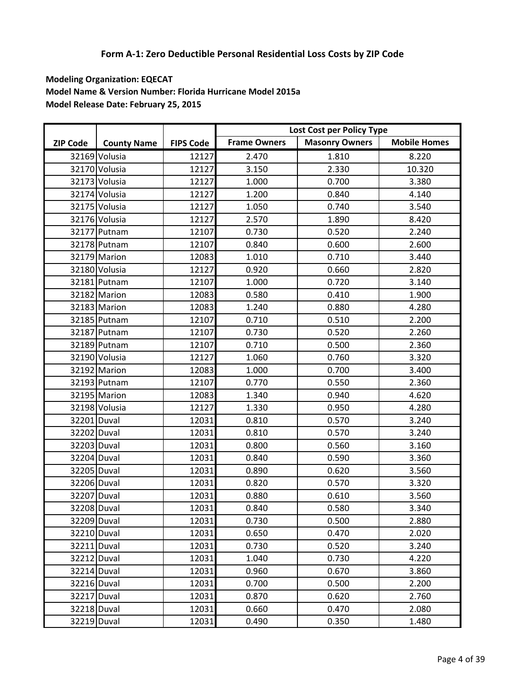|                 |                    |                  |                     | Lost Cost per Policy Type |                     |
|-----------------|--------------------|------------------|---------------------|---------------------------|---------------------|
| <b>ZIP Code</b> | <b>County Name</b> | <b>FIPS Code</b> | <b>Frame Owners</b> | <b>Masonry Owners</b>     | <b>Mobile Homes</b> |
|                 | 32169 Volusia      | 12127            | 2.470               | 1.810                     | 8.220               |
|                 | 32170 Volusia      | 12127            | 3.150               | 2.330                     | 10.320              |
|                 | 32173 Volusia      | 12127            | 1.000               | 0.700                     | 3.380               |
|                 | 32174 Volusia      | 12127            | 1.200               | 0.840                     | 4.140               |
|                 | 32175 Volusia      | 12127            | 1.050               | 0.740                     | 3.540               |
|                 | 32176 Volusia      | 12127            | 2.570               | 1.890                     | 8.420               |
|                 | 32177 Putnam       | 12107            | 0.730               | 0.520                     | 2.240               |
|                 | 32178 Putnam       | 12107            | 0.840               | 0.600                     | 2.600               |
|                 | 32179 Marion       | 12083            | 1.010               | 0.710                     | 3.440               |
|                 | 32180 Volusia      | 12127            | 0.920               | 0.660                     | 2.820               |
|                 | 32181 Putnam       | 12107            | 1.000               | 0.720                     | 3.140               |
|                 | 32182 Marion       | 12083            | 0.580               | 0.410                     | 1.900               |
|                 | 32183 Marion       | 12083            | 1.240               | 0.880                     | 4.280               |
|                 | 32185 Putnam       | 12107            | 0.710               | 0.510                     | 2.200               |
|                 | 32187 Putnam       | 12107            | 0.730               | 0.520                     | 2.260               |
|                 | 32189 Putnam       | 12107            | 0.710               | 0.500                     | 2.360               |
|                 | 32190 Volusia      | 12127            | 1.060               | 0.760                     | 3.320               |
|                 | 32192 Marion       | 12083            | 1.000               | 0.700                     | 3.400               |
|                 | 32193 Putnam       | 12107            | 0.770               | 0.550                     | 2.360               |
|                 | 32195 Marion       | 12083            | 1.340               | 0.940                     | 4.620               |
|                 | 32198 Volusia      | 12127            | 1.330               | 0.950                     | 4.280               |
| 32201 Duval     |                    | 12031            | 0.810               | 0.570                     | 3.240               |
| 32202 Duval     |                    | 12031            | 0.810               | 0.570                     | 3.240               |
| 32203 Duval     |                    | 12031            | 0.800               | 0.560                     | 3.160               |
| 32204 Duval     |                    | 12031            | 0.840               | 0.590                     | 3.360               |
| 32205 Duval     |                    | 12031            | 0.890               | 0.620                     | 3.560               |
| 32206 Duval     |                    | 12031            | 0.820               | 0.570                     | 3.320               |
| 32207 Duval     |                    | 12031            | 0.880               | 0.610                     | 3.560               |
| 32208 Duval     |                    | 12031            | 0.840               | 0.580                     | 3.340               |
| 32209 Duval     |                    | 12031            | 0.730               | 0.500                     | 2.880               |
| 32210 Duval     |                    | 12031            | 0.650               | 0.470                     | 2.020               |
| 32211 Duval     |                    | 12031            | 0.730               | 0.520                     | 3.240               |
| 32212 Duval     |                    | 12031            | 1.040               | 0.730                     | 4.220               |
| 32214 Duval     |                    | 12031            | 0.960               | 0.670                     | 3.860               |
| 32216 Duval     |                    | 12031            | 0.700               | 0.500                     | 2.200               |
| 32217 Duval     |                    | 12031            | 0.870               | 0.620                     | 2.760               |
| 32218 Duval     |                    | 12031            | 0.660               | 0.470                     | 2.080               |
| 32219 Duval     |                    | 12031            | 0.490               | 0.350                     | 1.480               |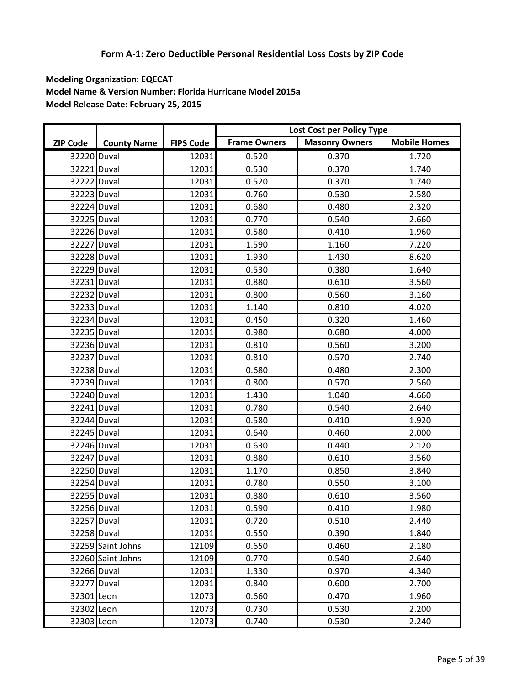|                 |                    |                  |                     | Lost Cost per Policy Type |                     |
|-----------------|--------------------|------------------|---------------------|---------------------------|---------------------|
| <b>ZIP Code</b> | <b>County Name</b> | <b>FIPS Code</b> | <b>Frame Owners</b> | <b>Masonry Owners</b>     | <b>Mobile Homes</b> |
| 32220 Duval     |                    | 12031            | 0.520               | 0.370                     | 1.720               |
| 32221 Duval     |                    | 12031            | 0.530               | 0.370                     | 1.740               |
| 32222 Duval     |                    | 12031            | 0.520               | 0.370                     | 1.740               |
| 32223 Duval     |                    | 12031            | 0.760               | 0.530                     | 2.580               |
| 32224 Duval     |                    | 12031            | 0.680               | 0.480                     | 2.320               |
| 32225 Duval     |                    | 12031            | 0.770               | 0.540                     | 2.660               |
| 32226 Duval     |                    | 12031            | 0.580               | 0.410                     | 1.960               |
| 32227 Duval     |                    | 12031            | 1.590               | 1.160                     | 7.220               |
| 32228 Duval     |                    | 12031            | 1.930               | 1.430                     | 8.620               |
| 32229 Duval     |                    | 12031            | 0.530               | 0.380                     | 1.640               |
| 32231 Duval     |                    | 12031            | 0.880               | 0.610                     | 3.560               |
| 32232 Duval     |                    | 12031            | 0.800               | 0.560                     | 3.160               |
| 32233 Duval     |                    | 12031            | 1.140               | 0.810                     | 4.020               |
| 32234 Duval     |                    | 12031            | 0.450               | 0.320                     | 1.460               |
| 32235 Duval     |                    | 12031            | 0.980               | 0.680                     | 4.000               |
| 32236 Duval     |                    | 12031            | 0.810               | 0.560                     | 3.200               |
| 32237 Duval     |                    | 12031            | 0.810               | 0.570                     | 2.740               |
| 32238 Duval     |                    | 12031            | 0.680               | 0.480                     | 2.300               |
| 32239 Duval     |                    | 12031            | 0.800               | 0.570                     | 2.560               |
| 32240 Duval     |                    | 12031            | 1.430               | 1.040                     | 4.660               |
| 32241 Duval     |                    | 12031            | 0.780               | 0.540                     | 2.640               |
| 32244 Duval     |                    | 12031            | 0.580               | 0.410                     | 1.920               |
| 32245 Duval     |                    | 12031            | 0.640               | 0.460                     | 2.000               |
| 32246 Duval     |                    | 12031            | 0.630               | 0.440                     | 2.120               |
| 32247 Duval     |                    | 12031            | 0.880               | 0.610                     | 3.560               |
| 32250 Duval     |                    | 12031            | 1.170               | 0.850                     | 3.840               |
| 32254 Duval     |                    | 12031            | 0.780               | 0.550                     | 3.100               |
| 32255 Duval     |                    | 12031            | 0.880               | 0.610                     | 3.560               |
| 32256 Duval     |                    | 12031            | 0.590               | 0.410                     | 1.980               |
| 32257 Duval     |                    | 12031            | 0.720               | 0.510                     | 2.440               |
| 32258 Duval     |                    | 12031            | 0.550               | 0.390                     | 1.840               |
|                 | 32259 Saint Johns  | 12109            | 0.650               | 0.460                     | 2.180               |
|                 | 32260 Saint Johns  | 12109            | 0.770               | 0.540                     | 2.640               |
| 32266 Duval     |                    | 12031            | 1.330               | 0.970                     | 4.340               |
| 32277 Duval     |                    | 12031            | 0.840               | 0.600                     | 2.700               |
| 32301 Leon      |                    | 12073            | 0.660               | 0.470                     | 1.960               |
| 32302 Leon      |                    | 12073            | 0.730               | 0.530                     | 2.200               |
| 32303 Leon      |                    | 12073            | 0.740               | 0.530                     | 2.240               |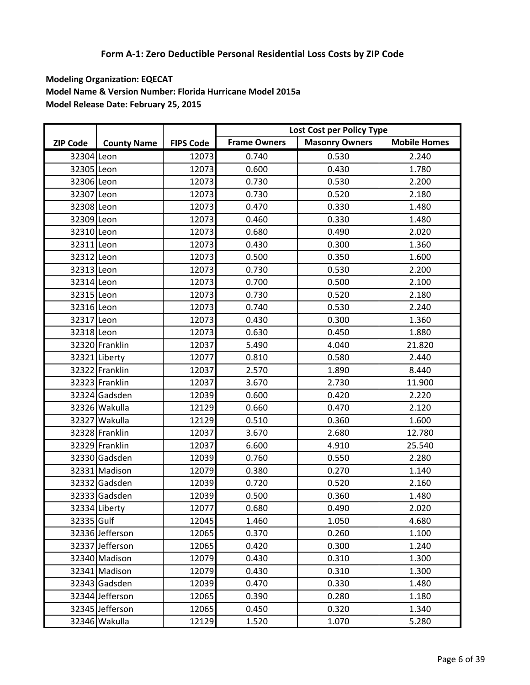|                 |                    |                  |                     | Lost Cost per Policy Type |                     |
|-----------------|--------------------|------------------|---------------------|---------------------------|---------------------|
| <b>ZIP Code</b> | <b>County Name</b> | <b>FIPS Code</b> | <b>Frame Owners</b> | <b>Masonry Owners</b>     | <b>Mobile Homes</b> |
| 32304 Leon      |                    | 12073            | 0.740               | 0.530                     | 2.240               |
| 32305 Leon      |                    | 12073            | 0.600               | 0.430                     | 1.780               |
| 32306 Leon      |                    | 12073            | 0.730               | 0.530                     | 2.200               |
| 32307 Leon      |                    | 12073            | 0.730               | 0.520                     | 2.180               |
| 32308 Leon      |                    | 12073            | 0.470               | 0.330                     | 1.480               |
| 32309 Leon      |                    | 12073            | 0.460               | 0.330                     | 1.480               |
| 32310 Leon      |                    | 12073            | 0.680               | 0.490                     | 2.020               |
| 32311 Leon      |                    | 12073            | 0.430               | 0.300                     | 1.360               |
| 32312 Leon      |                    | 12073            | 0.500               | 0.350                     | 1.600               |
| 32313 Leon      |                    | 12073            | 0.730               | 0.530                     | 2.200               |
| 32314 Leon      |                    | 12073            | 0.700               | 0.500                     | 2.100               |
| 32315 Leon      |                    | 12073            | 0.730               | 0.520                     | 2.180               |
| 32316 Leon      |                    | 12073            | 0.740               | 0.530                     | 2.240               |
| 32317 Leon      |                    | 12073            | 0.430               | 0.300                     | 1.360               |
| 32318 Leon      |                    | 12073            | 0.630               | 0.450                     | 1.880               |
|                 | 32320 Franklin     | 12037            | 5.490               | 4.040                     | 21.820              |
|                 | 32321 Liberty      | 12077            | 0.810               | 0.580                     | 2.440               |
|                 | 32322 Franklin     | 12037            | 2.570               | 1.890                     | 8.440               |
|                 | 32323 Franklin     | 12037            | 3.670               | 2.730                     | 11.900              |
|                 | 32324 Gadsden      | 12039            | 0.600               | 0.420                     | 2.220               |
|                 | 32326 Wakulla      | 12129            | 0.660               | 0.470                     | 2.120               |
|                 | 32327 Wakulla      | 12129            | 0.510               | 0.360                     | 1.600               |
|                 | 32328 Franklin     | 12037            | 3.670               | 2.680                     | 12.780              |
|                 | 32329 Franklin     | 12037            | 6.600               | 4.910                     | 25.540              |
|                 | 32330 Gadsden      | 12039            | 0.760               | 0.550                     | 2.280               |
|                 | 32331 Madison      | 12079            | 0.380               | 0.270                     | 1.140               |
|                 | 32332 Gadsden      | 12039            | 0.720               | 0.520                     | 2.160               |
|                 | 32333 Gadsden      | 12039            | 0.500               | 0.360                     | 1.480               |
|                 | 32334 Liberty      | 12077            | 0.680               | 0.490                     | 2.020               |
| 32335 Gulf      |                    | 12045            | 1.460               | 1.050                     | 4.680               |
|                 | 32336 Jefferson    | 12065            | 0.370               | 0.260                     | 1.100               |
|                 | 32337 Jefferson    | 12065            | 0.420               | 0.300                     | 1.240               |
|                 | 32340 Madison      | 12079            | 0.430               | 0.310                     | 1.300               |
|                 | 32341 Madison      | 12079            | 0.430               | 0.310                     | 1.300               |
|                 | 32343 Gadsden      | 12039            | 0.470               | 0.330                     | 1.480               |
|                 | 32344 Jefferson    | 12065            | 0.390               | 0.280                     | 1.180               |
|                 | 32345 Jefferson    | 12065            | 0.450               | 0.320                     | 1.340               |
|                 | 32346 Wakulla      | 12129            | 1.520               | 1.070                     | 5.280               |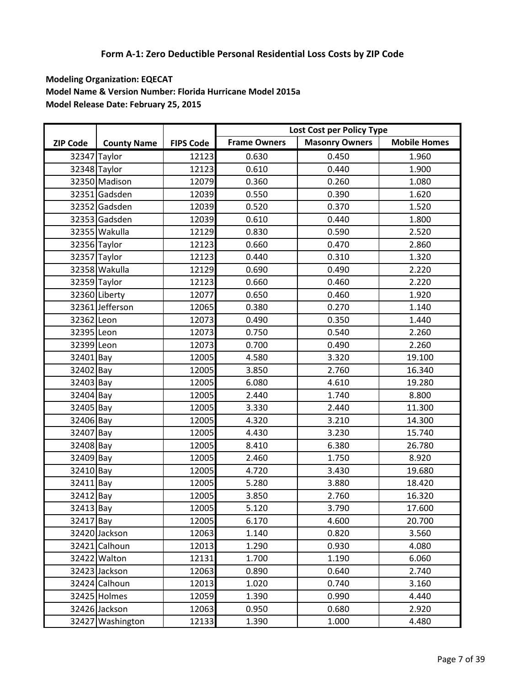|                 |                    |                  |                     | Lost Cost per Policy Type |                     |
|-----------------|--------------------|------------------|---------------------|---------------------------|---------------------|
| <b>ZIP Code</b> | <b>County Name</b> | <b>FIPS Code</b> | <b>Frame Owners</b> | <b>Masonry Owners</b>     | <b>Mobile Homes</b> |
|                 | 32347 Taylor       | 12123            | 0.630               | 0.450                     | 1.960               |
|                 | 32348 Taylor       | 12123            | 0.610               | 0.440                     | 1.900               |
|                 | 32350 Madison      | 12079            | 0.360               | 0.260                     | 1.080               |
|                 | 32351 Gadsden      | 12039            | 0.550               | 0.390                     | 1.620               |
|                 | 32352 Gadsden      | 12039            | 0.520               | 0.370                     | 1.520               |
|                 | 32353 Gadsden      | 12039            | 0.610               | 0.440                     | 1.800               |
|                 | 32355 Wakulla      | 12129            | 0.830               | 0.590                     | 2.520               |
|                 | 32356 Taylor       | 12123            | 0.660               | 0.470                     | 2.860               |
|                 | 32357 Taylor       | 12123            | 0.440               | 0.310                     | 1.320               |
|                 | 32358 Wakulla      | 12129            | 0.690               | 0.490                     | 2.220               |
|                 | 32359 Taylor       | 12123            | 0.660               | 0.460                     | 2.220               |
|                 | 32360 Liberty      | 12077            | 0.650               | 0.460                     | 1.920               |
|                 | 32361 Jefferson    | 12065            | 0.380               | 0.270                     | 1.140               |
| 32362 Leon      |                    | 12073            | 0.490               | 0.350                     | 1.440               |
| 32395 Leon      |                    | 12073            | 0.750               | 0.540                     | 2.260               |
| 32399 Leon      |                    | 12073            | 0.700               | 0.490                     | 2.260               |
| 32401 Bay       |                    | 12005            | 4.580               | 3.320                     | 19.100              |
| 32402 Bay       |                    | 12005            | 3.850               | 2.760                     | 16.340              |
| 32403 Bay       |                    | 12005            | 6.080               | 4.610                     | 19.280              |
| 32404 Bay       |                    | 12005            | 2.440               | 1.740                     | 8.800               |
| 32405 Bay       |                    | 12005            | 3.330               | 2.440                     | 11.300              |
| 32406 Bay       |                    | 12005            | 4.320               | 3.210                     | 14.300              |
| 32407 Bay       |                    | 12005            | 4.430               | 3.230                     | 15.740              |
| 32408 Bay       |                    | 12005            | 8.410               | 6.380                     | 26.780              |
| 32409 Bay       |                    | 12005            | 2.460               | 1.750                     | 8.920               |
| 32410 Bay       |                    | 12005            | 4.720               | 3.430                     | 19.680              |
| 32411 Bay       |                    | 12005            | 5.280               | 3.880                     | 18.420              |
| 32412 Bay       |                    | 12005            | 3.850               | 2.760                     | 16.320              |
| 32413 Bay       |                    | 12005            | 5.120               | 3.790                     | 17.600              |
| 32417 Bay       |                    | 12005            | 6.170               | 4.600                     | 20.700              |
|                 | 32420 Jackson      | 12063            | 1.140               | 0.820                     | 3.560               |
|                 | 32421 Calhoun      | 12013            | 1.290               | 0.930                     | 4.080               |
|                 | 32422 Walton       | 12131            | 1.700               | 1.190                     | 6.060               |
|                 | 32423 Jackson      | 12063            | 0.890               | 0.640                     | 2.740               |
|                 | 32424 Calhoun      | 12013            | 1.020               | 0.740                     | 3.160               |
|                 | 32425 Holmes       | 12059            | 1.390               | 0.990                     | 4.440               |
|                 | 32426 Jackson      | 12063            | 0.950               | 0.680                     | 2.920               |
|                 | 32427 Washington   | 12133            | 1.390               | 1.000                     | 4.480               |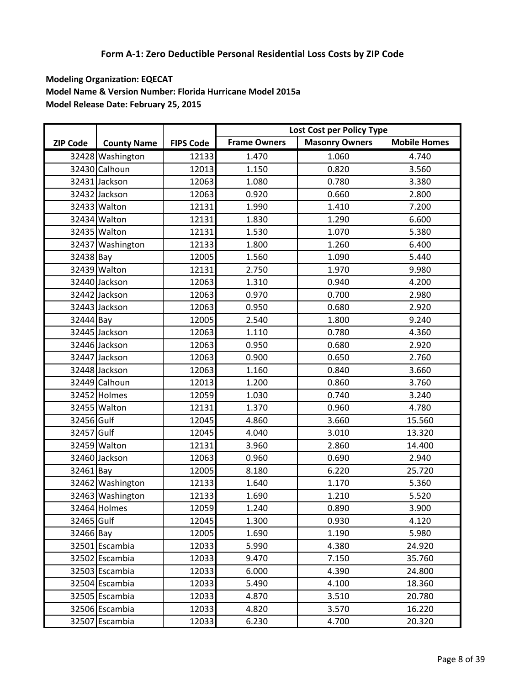|                 |                    |                  |                     | Lost Cost per Policy Type |                     |
|-----------------|--------------------|------------------|---------------------|---------------------------|---------------------|
| <b>ZIP Code</b> | <b>County Name</b> | <b>FIPS Code</b> | <b>Frame Owners</b> | <b>Masonry Owners</b>     | <b>Mobile Homes</b> |
|                 | 32428 Washington   | 12133            | 1.470               | 1.060                     | 4.740               |
|                 | 32430 Calhoun      | 12013            | 1.150               | 0.820                     | 3.560               |
|                 | 32431 Jackson      | 12063            | 1.080               | 0.780                     | 3.380               |
|                 | 32432 Jackson      | 12063            | 0.920               | 0.660                     | 2.800               |
|                 | 32433 Walton       | 12131            | 1.990               | 1.410                     | 7.200               |
|                 | 32434 Walton       | 12131            | 1.830               | 1.290                     | 6.600               |
|                 | 32435 Walton       | 12131            | 1.530               | 1.070                     | 5.380               |
|                 | 32437 Washington   | 12133            | 1.800               | 1.260                     | 6.400               |
| 32438 Bay       |                    | 12005            | 1.560               | 1.090                     | 5.440               |
|                 | 32439 Walton       | 12131            | 2.750               | 1.970                     | 9.980               |
|                 | 32440 Jackson      | 12063            | 1.310               | 0.940                     | 4.200               |
|                 | 32442 Jackson      | 12063            | 0.970               | 0.700                     | 2.980               |
|                 | 32443 Jackson      | 12063            | 0.950               | 0.680                     | 2.920               |
| 32444 Bay       |                    | 12005            | 2.540               | 1.800                     | 9.240               |
|                 | 32445 Jackson      | 12063            | 1.110               | 0.780                     | 4.360               |
|                 | 32446 Jackson      | 12063            | 0.950               | 0.680                     | 2.920               |
|                 | 32447 Jackson      | 12063            | 0.900               | 0.650                     | 2.760               |
|                 | 32448 Jackson      | 12063            | 1.160               | 0.840                     | 3.660               |
|                 | 32449 Calhoun      | 12013            | 1.200               | 0.860                     | 3.760               |
|                 | 32452 Holmes       | 12059            | 1.030               | 0.740                     | 3.240               |
|                 | 32455 Walton       | 12131            | 1.370               | 0.960                     | 4.780               |
| 32456 Gulf      |                    | 12045            | 4.860               | 3.660                     | 15.560              |
| 32457 Gulf      |                    | 12045            | 4.040               | 3.010                     | 13.320              |
|                 | 32459 Walton       | 12131            | 3.960               | 2.860                     | 14.400              |
|                 | 32460 Jackson      | 12063            | 0.960               | 0.690                     | 2.940               |
| 32461 Bay       |                    | 12005            | 8.180               | 6.220                     | 25.720              |
|                 | 32462 Washington   | 12133            | 1.640               | 1.170                     | 5.360               |
|                 | 32463 Washington   | 12133            | 1.690               | 1.210                     | 5.520               |
|                 | 32464 Holmes       | 12059            | 1.240               | 0.890                     | 3.900               |
| 32465 Gulf      |                    | 12045            | 1.300               | 0.930                     | 4.120               |
| 32466 Bay       |                    | 12005            | 1.690               | 1.190                     | 5.980               |
|                 | 32501 Escambia     | 12033            | 5.990               | 4.380                     | 24.920              |
|                 | 32502 Escambia     | 12033            | 9.470               | 7.150                     | 35.760              |
|                 | 32503 Escambia     | 12033            | 6.000               | 4.390                     | 24.800              |
|                 | 32504 Escambia     | 12033            | 5.490               | 4.100                     | 18.360              |
|                 | 32505 Escambia     | 12033            | 4.870               | 3.510                     | 20.780              |
|                 | 32506 Escambia     | 12033            | 4.820               | 3.570                     | 16.220              |
|                 | 32507 Escambia     | 12033            | 6.230               | 4.700                     | 20.320              |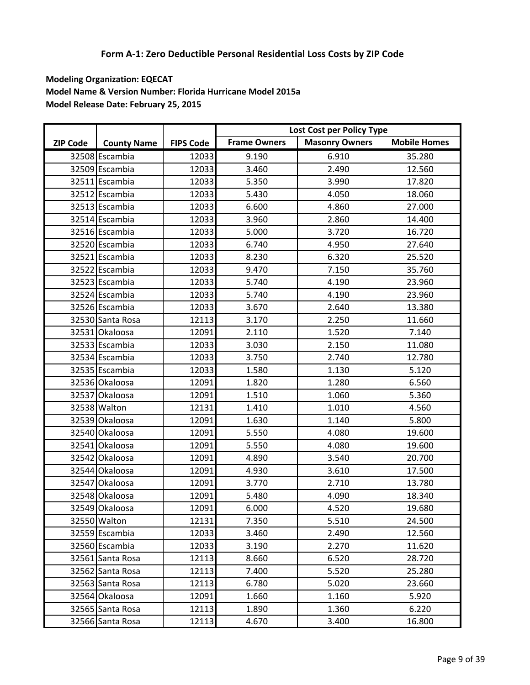|                 |                    |                  |                     | Lost Cost per Policy Type |                     |
|-----------------|--------------------|------------------|---------------------|---------------------------|---------------------|
| <b>ZIP Code</b> | <b>County Name</b> | <b>FIPS Code</b> | <b>Frame Owners</b> | <b>Masonry Owners</b>     | <b>Mobile Homes</b> |
|                 | 32508 Escambia     | 12033            | 9.190               | 6.910                     | 35.280              |
|                 | 32509 Escambia     | 12033            | 3.460               | 2.490                     | 12.560              |
|                 | 32511 Escambia     | 12033            | 5.350               | 3.990                     | 17.820              |
|                 | 32512 Escambia     | 12033            | 5.430               | 4.050                     | 18.060              |
|                 | 32513 Escambia     | 12033            | 6.600               | 4.860                     | 27.000              |
|                 | 32514 Escambia     | 12033            | 3.960               | 2.860                     | 14.400              |
|                 | 32516 Escambia     | 12033            | 5.000               | 3.720                     | 16.720              |
|                 | 32520 Escambia     | 12033            | 6.740               | 4.950                     | 27.640              |
|                 | 32521 Escambia     | 12033            | 8.230               | 6.320                     | 25.520              |
|                 | 32522 Escambia     | 12033            | 9.470               | 7.150                     | 35.760              |
|                 | 32523 Escambia     | 12033            | 5.740               | 4.190                     | 23.960              |
|                 | 32524 Escambia     | 12033            | 5.740               | 4.190                     | 23.960              |
|                 | 32526 Escambia     | 12033            | 3.670               | 2.640                     | 13.380              |
|                 | 32530 Santa Rosa   | 12113            | 3.170               | 2.250                     | 11.660              |
|                 | 32531 Okaloosa     | 12091            | 2.110               | 1.520                     | 7.140               |
|                 | 32533 Escambia     | 12033            | 3.030               | 2.150                     | 11.080              |
|                 | 32534 Escambia     | 12033            | 3.750               | 2.740                     | 12.780              |
|                 | 32535 Escambia     | 12033            | 1.580               | 1.130                     | 5.120               |
|                 | 32536 Okaloosa     | 12091            | 1.820               | 1.280                     | 6.560               |
|                 | 32537 Okaloosa     | 12091            | 1.510               | 1.060                     | 5.360               |
|                 | 32538 Walton       | 12131            | 1.410               | 1.010                     | 4.560               |
|                 | 32539 Okaloosa     | 12091            | 1.630               | 1.140                     | 5.800               |
|                 | 32540 Okaloosa     | 12091            | 5.550               | 4.080                     | 19.600              |
|                 | 32541 Okaloosa     | 12091            | 5.550               | 4.080                     | 19.600              |
|                 | 32542 Okaloosa     | 12091            | 4.890               | 3.540                     | 20.700              |
|                 | 32544 Okaloosa     | 12091            | 4.930               | 3.610                     | 17.500              |
|                 | 32547 Okaloosa     | 12091            | 3.770               | 2.710                     | 13.780              |
|                 | 32548 Okaloosa     | 12091            | 5.480               | 4.090                     | 18.340              |
|                 | 32549 Okaloosa     | 12091            | 6.000               | 4.520                     | 19.680              |
|                 | 32550 Walton       | 12131            | 7.350               | 5.510                     | 24.500              |
|                 | 32559 Escambia     | 12033            | 3.460               | 2.490                     | 12.560              |
|                 | 32560 Escambia     | 12033            | 3.190               | 2.270                     | 11.620              |
|                 | 32561 Santa Rosa   | 12113            | 8.660               | 6.520                     | 28.720              |
|                 | 32562 Santa Rosa   | 12113            | 7.400               | 5.520                     | 25.280              |
|                 | 32563 Santa Rosa   | 12113            | 6.780               | 5.020                     | 23.660              |
|                 | 32564 Okaloosa     | 12091            | 1.660               | 1.160                     | 5.920               |
|                 | 32565 Santa Rosa   | 12113            | 1.890               | 1.360                     | 6.220               |
|                 | 32566 Santa Rosa   | 12113            | 4.670               | 3.400                     | 16.800              |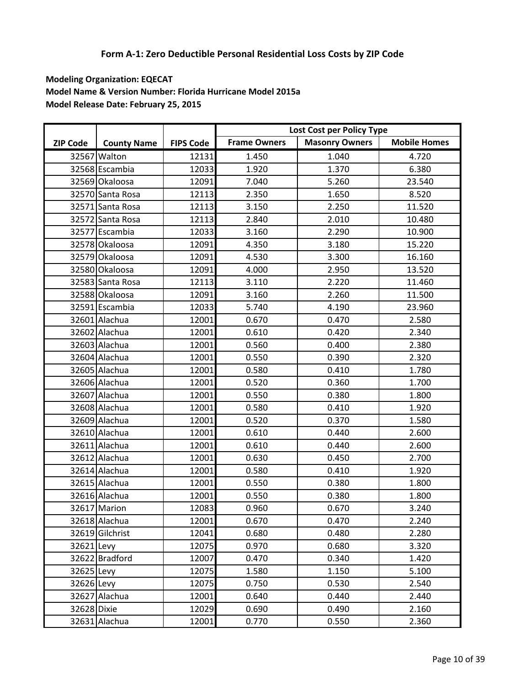|                 |                    |                  |                     | Lost Cost per Policy Type |                     |
|-----------------|--------------------|------------------|---------------------|---------------------------|---------------------|
| <b>ZIP Code</b> | <b>County Name</b> | <b>FIPS Code</b> | <b>Frame Owners</b> | <b>Masonry Owners</b>     | <b>Mobile Homes</b> |
|                 | 32567 Walton       | 12131            | 1.450               | 1.040                     | 4.720               |
|                 | 32568 Escambia     | 12033            | 1.920               | 1.370                     | 6.380               |
|                 | 32569 Okaloosa     | 12091            | 7.040               | 5.260                     | 23.540              |
|                 | 32570 Santa Rosa   | 12113            | 2.350               | 1.650                     | 8.520               |
|                 | 32571 Santa Rosa   | 12113            | 3.150               | 2.250                     | 11.520              |
|                 | 32572 Santa Rosa   | 12113            | 2.840               | 2.010                     | 10.480              |
|                 | 32577 Escambia     | 12033            | 3.160               | 2.290                     | 10.900              |
|                 | 32578 Okaloosa     | 12091            | 4.350               | 3.180                     | 15.220              |
|                 | 32579 Okaloosa     | 12091            | 4.530               | 3.300                     | 16.160              |
|                 | 32580 Okaloosa     | 12091            | 4.000               | 2.950                     | 13.520              |
|                 | 32583 Santa Rosa   | 12113            | 3.110               | 2.220                     | 11.460              |
|                 | 32588 Okaloosa     | 12091            | 3.160               | 2.260                     | 11.500              |
|                 | 32591 Escambia     | 12033            | 5.740               | 4.190                     | 23.960              |
|                 | 32601 Alachua      | 12001            | 0.670               | 0.470                     | 2.580               |
|                 | 32602 Alachua      | 12001            | 0.610               | 0.420                     | 2.340               |
|                 | 32603 Alachua      | 12001            | 0.560               | 0.400                     | 2.380               |
|                 | 32604 Alachua      | 12001            | 0.550               | 0.390                     | 2.320               |
|                 | 32605 Alachua      | 12001            | 0.580               | 0.410                     | 1.780               |
|                 | 32606 Alachua      | 12001            | 0.520               | 0.360                     | 1.700               |
|                 | 32607 Alachua      | 12001            | 0.550               | 0.380                     | 1.800               |
|                 | 32608 Alachua      | 12001            | 0.580               | 0.410                     | 1.920               |
|                 | 32609 Alachua      | 12001            | 0.520               | 0.370                     | 1.580               |
|                 | 32610 Alachua      | 12001            | 0.610               | 0.440                     | 2.600               |
|                 | 32611 Alachua      | 12001            | 0.610               | 0.440                     | 2.600               |
|                 | 32612 Alachua      | 12001            | 0.630               | 0.450                     | 2.700               |
|                 | 32614 Alachua      | 12001            | 0.580               | 0.410                     | 1.920               |
|                 | 32615 Alachua      | 12001            | 0.550               | 0.380                     | 1.800               |
|                 | 32616 Alachua      | 12001            | 0.550               | 0.380                     | 1.800               |
|                 | 32617 Marion       | 12083            | 0.960               | 0.670                     | 3.240               |
|                 | 32618 Alachua      | 12001            | 0.670               | 0.470                     | 2.240               |
|                 | 32619 Gilchrist    | 12041            | 0.680               | 0.480                     | 2.280               |
| 32621 Levy      |                    | 12075            | 0.970               | 0.680                     | 3.320               |
|                 | 32622 Bradford     | 12007            | 0.470               | 0.340                     | 1.420               |
| 32625 Levy      |                    | 12075            | 1.580               | 1.150                     | 5.100               |
| 32626 Levy      |                    | 12075            | 0.750               | 0.530                     | 2.540               |
|                 | 32627 Alachua      | 12001            | 0.640               | 0.440                     | 2.440               |
| 32628 Dixie     |                    | 12029            | 0.690               | 0.490                     | 2.160               |
|                 | 32631 Alachua      | 12001            | 0.770               | 0.550                     | 2.360               |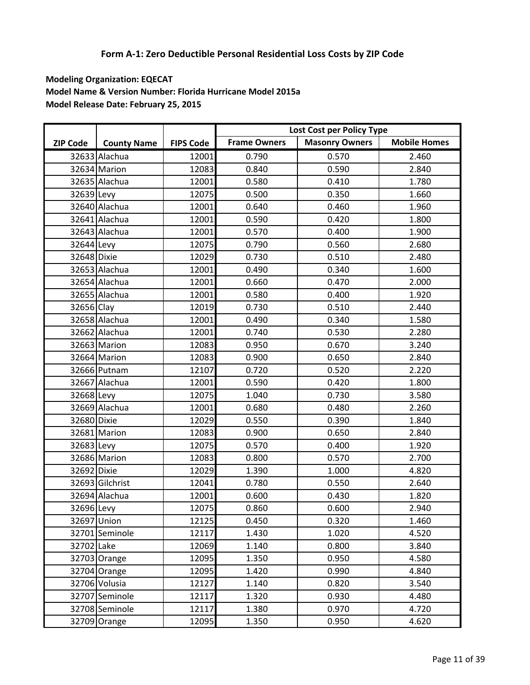|                 |                    |                  |                     | Lost Cost per Policy Type |                     |
|-----------------|--------------------|------------------|---------------------|---------------------------|---------------------|
| <b>ZIP Code</b> | <b>County Name</b> | <b>FIPS Code</b> | <b>Frame Owners</b> | <b>Masonry Owners</b>     | <b>Mobile Homes</b> |
|                 | 32633 Alachua      | 12001            | 0.790               | 0.570                     | 2.460               |
|                 | 32634 Marion       | 12083            | 0.840               | 0.590                     | 2.840               |
|                 | 32635 Alachua      | 12001            | 0.580               | 0.410                     | 1.780               |
| 32639 Levy      |                    | 12075            | 0.500               | 0.350                     | 1.660               |
|                 | 32640 Alachua      | 12001            | 0.640               | 0.460                     | 1.960               |
|                 | 32641 Alachua      | 12001            | 0.590               | 0.420                     | 1.800               |
|                 | 32643 Alachua      | 12001            | 0.570               | 0.400                     | 1.900               |
| 32644 Levy      |                    | 12075            | 0.790               | 0.560                     | 2.680               |
| 32648 Dixie     |                    | 12029            | 0.730               | 0.510                     | 2.480               |
|                 | 32653 Alachua      | 12001            | 0.490               | 0.340                     | 1.600               |
|                 | 32654 Alachua      | 12001            | 0.660               | 0.470                     | 2.000               |
|                 | 32655 Alachua      | 12001            | 0.580               | 0.400                     | 1.920               |
| 32656 Clay      |                    | 12019            | 0.730               | 0.510                     | 2.440               |
|                 | 32658 Alachua      | 12001            | 0.490               | 0.340                     | 1.580               |
|                 | 32662 Alachua      | 12001            | 0.740               | 0.530                     | 2.280               |
|                 | 32663 Marion       | 12083            | 0.950               | 0.670                     | 3.240               |
|                 | 32664 Marion       | 12083            | 0.900               | 0.650                     | 2.840               |
|                 | 32666 Putnam       | 12107            | 0.720               | 0.520                     | 2.220               |
|                 | 32667 Alachua      | 12001            | 0.590               | 0.420                     | 1.800               |
| 32668 Levy      |                    | 12075            | 1.040               | 0.730                     | 3.580               |
|                 | 32669 Alachua      | 12001            | 0.680               | 0.480                     | 2.260               |
| 32680 Dixie     |                    | 12029            | 0.550               | 0.390                     | 1.840               |
|                 | 32681 Marion       | 12083            | 0.900               | 0.650                     | 2.840               |
| 32683 Levy      |                    | 12075            | 0.570               | 0.400                     | 1.920               |
|                 | 32686 Marion       | 12083            | 0.800               | 0.570                     | 2.700               |
| 32692 Dixie     |                    | 12029            | 1.390               | 1.000                     | 4.820               |
|                 | 32693 Gilchrist    | 12041            | 0.780               | 0.550                     | 2.640               |
|                 | 32694 Alachua      | 12001            | 0.600               | 0.430                     | 1.820               |
| 32696 Levy      |                    | 12075            | 0.860               | 0.600                     | 2.940               |
|                 | 32697 Union        | 12125            | 0.450               | 0.320                     | 1.460               |
|                 | 32701 Seminole     | 12117            | 1.430               | 1.020                     | 4.520               |
| 32702 Lake      |                    | 12069            | 1.140               | 0.800                     | 3.840               |
|                 | 32703 Orange       | 12095            | 1.350               | 0.950                     | 4.580               |
|                 | 32704 Orange       | 12095            | 1.420               | 0.990                     | 4.840               |
|                 | 32706 Volusia      | 12127            | 1.140               | 0.820                     | 3.540               |
|                 | 32707 Seminole     | 12117            | 1.320               | 0.930                     | 4.480               |
|                 | 32708 Seminole     | 12117            | 1.380               | 0.970                     | 4.720               |
|                 | 32709 Orange       | 12095            | 1.350               | 0.950                     | 4.620               |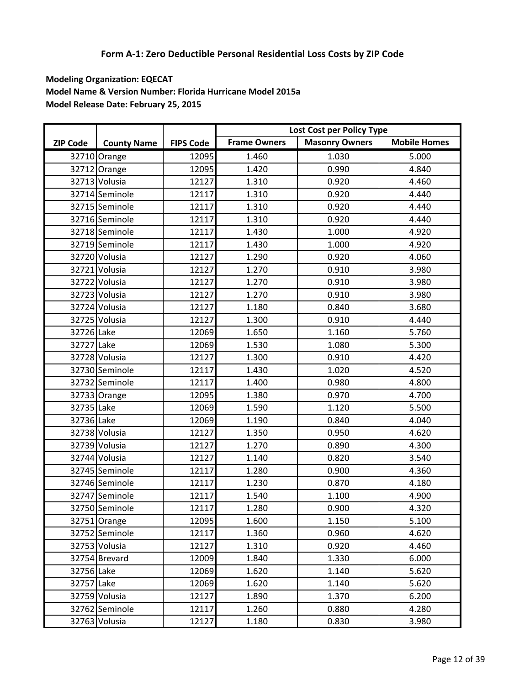|                 |                    |                  |                     | Lost Cost per Policy Type |                     |
|-----------------|--------------------|------------------|---------------------|---------------------------|---------------------|
| <b>ZIP Code</b> | <b>County Name</b> | <b>FIPS Code</b> | <b>Frame Owners</b> | <b>Masonry Owners</b>     | <b>Mobile Homes</b> |
|                 | 32710 Orange       | 12095            | 1.460               | 1.030                     | 5.000               |
|                 | 32712 Orange       | 12095            | 1.420               | 0.990                     | 4.840               |
|                 | 32713 Volusia      | 12127            | 1.310               | 0.920                     | 4.460               |
|                 | 32714 Seminole     | 12117            | 1.310               | 0.920                     | 4.440               |
|                 | 32715 Seminole     | 12117            | 1.310               | 0.920                     | 4.440               |
|                 | 32716 Seminole     | 12117            | 1.310               | 0.920                     | 4.440               |
|                 | 32718 Seminole     | 12117            | 1.430               | 1.000                     | 4.920               |
|                 | 32719 Seminole     | 12117            | 1.430               | 1.000                     | 4.920               |
|                 | 32720 Volusia      | 12127            | 1.290               | 0.920                     | 4.060               |
|                 | 32721 Volusia      | 12127            | 1.270               | 0.910                     | 3.980               |
|                 | 32722 Volusia      | 12127            | 1.270               | 0.910                     | 3.980               |
|                 | 32723 Volusia      | 12127            | 1.270               | 0.910                     | 3.980               |
|                 | 32724 Volusia      | 12127            | 1.180               | 0.840                     | 3.680               |
|                 | 32725 Volusia      | 12127            | 1.300               | 0.910                     | 4.440               |
| 32726 Lake      |                    | 12069            | 1.650               | 1.160                     | 5.760               |
| 32727 Lake      |                    | 12069            | 1.530               | 1.080                     | 5.300               |
|                 | 32728 Volusia      | 12127            | 1.300               | 0.910                     | 4.420               |
|                 | 32730 Seminole     | 12117            | 1.430               | 1.020                     | 4.520               |
|                 | 32732 Seminole     | 12117            | 1.400               | 0.980                     | 4.800               |
|                 | 32733 Orange       | 12095            | 1.380               | 0.970                     | 4.700               |
| 32735 Lake      |                    | 12069            | 1.590               | 1.120                     | 5.500               |
| 32736 Lake      |                    | 12069            | 1.190               | 0.840                     | 4.040               |
|                 | 32738 Volusia      | 12127            | 1.350               | 0.950                     | 4.620               |
|                 | 32739 Volusia      | 12127            | 1.270               | 0.890                     | 4.300               |
|                 | 32744 Volusia      | 12127            | 1.140               | 0.820                     | 3.540               |
|                 | 32745 Seminole     | 12117            | 1.280               | 0.900                     | 4.360               |
|                 | 32746 Seminole     | 12117            | 1.230               | 0.870                     | 4.180               |
|                 | 32747 Seminole     | 12117            | 1.540               | 1.100                     | 4.900               |
|                 | 32750 Seminole     | 12117            | 1.280               | 0.900                     | 4.320               |
|                 | 32751 Orange       | 12095            | 1.600               | 1.150                     | 5.100               |
|                 | 32752 Seminole     | 12117            | 1.360               | 0.960                     | 4.620               |
|                 | 32753 Volusia      | 12127            | 1.310               | 0.920                     | 4.460               |
|                 | 32754 Brevard      | 12009            | 1.840               | 1.330                     | 6.000               |
| 32756 Lake      |                    | 12069            | 1.620               | 1.140                     | 5.620               |
| 32757 Lake      |                    | 12069            | 1.620               | 1.140                     | 5.620               |
|                 | 32759 Volusia      | 12127            | 1.890               | 1.370                     | 6.200               |
|                 | 32762 Seminole     | 12117            | 1.260               | 0.880                     | 4.280               |
|                 | 32763 Volusia      | 12127            | 1.180               | 0.830                     | 3.980               |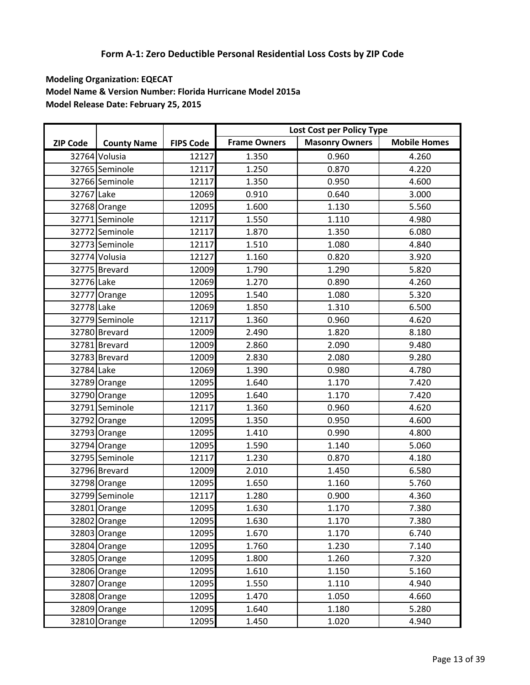|                 |                    |                  |                     | Lost Cost per Policy Type |                     |
|-----------------|--------------------|------------------|---------------------|---------------------------|---------------------|
| <b>ZIP Code</b> | <b>County Name</b> | <b>FIPS Code</b> | <b>Frame Owners</b> | <b>Masonry Owners</b>     | <b>Mobile Homes</b> |
|                 | 32764 Volusia      | 12127            | 1.350               | 0.960                     | 4.260               |
|                 | 32765 Seminole     | 12117            | 1.250               | 0.870                     | 4.220               |
|                 | 32766 Seminole     | 12117            | 1.350               | 0.950                     | 4.600               |
| 32767 Lake      |                    | 12069            | 0.910               | 0.640                     | 3.000               |
|                 | 32768 Orange       | 12095            | 1.600               | 1.130                     | 5.560               |
|                 | 32771 Seminole     | 12117            | 1.550               | 1.110                     | 4.980               |
|                 | 32772 Seminole     | 12117            | 1.870               | 1.350                     | 6.080               |
|                 | 32773 Seminole     | 12117            | 1.510               | 1.080                     | 4.840               |
|                 | 32774 Volusia      | 12127            | 1.160               | 0.820                     | 3.920               |
|                 | 32775 Brevard      | 12009            | 1.790               | 1.290                     | 5.820               |
| 32776 Lake      |                    | 12069            | 1.270               | 0.890                     | 4.260               |
|                 | 32777 Orange       | 12095            | 1.540               | 1.080                     | 5.320               |
| 32778 Lake      |                    | 12069            | 1.850               | 1.310                     | 6.500               |
|                 | 32779 Seminole     | 12117            | 1.360               | 0.960                     | 4.620               |
|                 | 32780 Brevard      | 12009            | 2.490               | 1.820                     | 8.180               |
|                 | 32781 Brevard      | 12009            | 2.860               | 2.090                     | 9.480               |
|                 | 32783 Brevard      | 12009            | 2.830               | 2.080                     | 9.280               |
| 32784 Lake      |                    | 12069            | 1.390               | 0.980                     | 4.780               |
|                 | 32789 Orange       | 12095            | 1.640               | 1.170                     | 7.420               |
|                 | 32790 Orange       | 12095            | 1.640               | 1.170                     | 7.420               |
|                 | 32791 Seminole     | 12117            | 1.360               | 0.960                     | 4.620               |
|                 | 32792 Orange       | 12095            | 1.350               | 0.950                     | 4.600               |
|                 | 32793 Orange       | 12095            | 1.410               | 0.990                     | 4.800               |
|                 | 32794 Orange       | 12095            | 1.590               | 1.140                     | 5.060               |
|                 | 32795 Seminole     | 12117            | 1.230               | 0.870                     | 4.180               |
|                 | 32796 Brevard      | 12009            | 2.010               | 1.450                     | 6.580               |
|                 | 32798 Orange       | 12095            | 1.650               | 1.160                     | 5.760               |
|                 | 32799 Seminole     | 12117            | 1.280               | 0.900                     | 4.360               |
|                 | 32801 Orange       | 12095            | 1.630               | 1.170                     | 7.380               |
|                 | 32802 Orange       | 12095            | 1.630               | 1.170                     | 7.380               |
|                 | 32803 Orange       | 12095            | 1.670               | 1.170                     | 6.740               |
|                 | 32804 Orange       | 12095            | 1.760               | 1.230                     | 7.140               |
|                 | 32805 Orange       | 12095            | 1.800               | 1.260                     | 7.320               |
|                 | 32806 Orange       | 12095            | 1.610               | 1.150                     | 5.160               |
|                 | 32807 Orange       | 12095            | 1.550               | 1.110                     | 4.940               |
|                 | 32808 Orange       | 12095            | 1.470               | 1.050                     | 4.660               |
|                 | 32809 Orange       | 12095            | 1.640               | 1.180                     | 5.280               |
|                 | 32810 Orange       | 12095            | 1.450               | 1.020                     | 4.940               |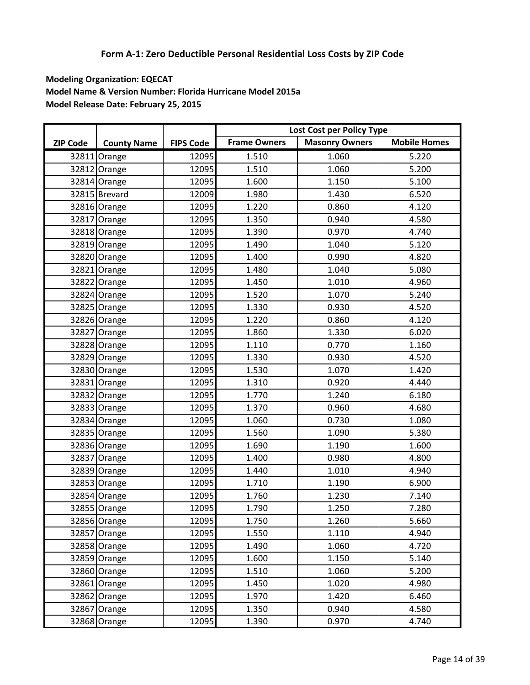|                 |                    |                  |                     | Lost Cost per Policy Type |                     |
|-----------------|--------------------|------------------|---------------------|---------------------------|---------------------|
| <b>ZIP Code</b> | <b>County Name</b> | <b>FIPS Code</b> | <b>Frame Owners</b> | <b>Masonry Owners</b>     | <b>Mobile Homes</b> |
|                 | 32811 Orange       | 12095            | 1.510               | 1.060                     | 5.220               |
|                 | 32812 Orange       | 12095            | 1.510               | 1.060                     | 5.200               |
|                 | 32814 Orange       | 12095            | 1.600               | 1.150                     | 5.100               |
|                 | 32815 Brevard      | 12009            | 1.980               | 1.430                     | 6.520               |
|                 | 32816 Orange       | 12095            | 1.220               | 0.860                     | 4.120               |
|                 | 32817 Orange       | 12095            | 1.350               | 0.940                     | 4.580               |
|                 | 32818 Orange       | 12095            | 1.390               | 0.970                     | 4.740               |
|                 | 32819 Orange       | 12095            | 1.490               | 1.040                     | 5.120               |
|                 | 32820 Orange       | 12095            | 1.400               | 0.990                     | 4.820               |
|                 | 32821 Orange       | 12095            | 1.480               | 1.040                     | 5.080               |
|                 | 32822 Orange       | 12095            | 1.450               | 1.010                     | 4.960               |
|                 | 32824 Orange       | 12095            | 1.520               | 1.070                     | 5.240               |
|                 | 32825 Orange       | 12095            | 1.330               | 0.930                     | 4.520               |
|                 | 32826 Orange       | 12095            | 1.220               | 0.860                     | 4.120               |
|                 | 32827 Orange       | 12095            | 1.860               | 1.330                     | 6.020               |
|                 | 32828 Orange       | 12095            | 1.110               | 0.770                     | 1.160               |
|                 | 32829 Orange       | 12095            | 1.330               | 0.930                     | 4.520               |
|                 | 32830 Orange       | 12095            | 1.530               | 1.070                     | 1.420               |
|                 | 32831 Orange       | 12095            | 1.310               | 0.920                     | 4.440               |
|                 | 32832 Orange       | 12095            | 1.770               | 1.240                     | 6.180               |
|                 | 32833 Orange       | 12095            | 1.370               | 0.960                     | 4.680               |
|                 | 32834 Orange       | 12095            | 1.060               | 0.730                     | 1.080               |
|                 | 32835 Orange       | 12095            | 1.560               | 1.090                     | 5.380               |
|                 | 32836 Orange       | 12095            | 1.690               | 1.190                     | 1.600               |
|                 | 32837 Orange       | 12095            | 1.400               | 0.980                     | 4.800               |
|                 | 32839 Orange       | 12095            | 1.440               | 1.010                     | 4.940               |
|                 | 32853 Orange       | 12095            | 1.710               | 1.190                     | 6.900               |
|                 | 32854 Orange       | 12095            | 1.760               | 1.230                     | 7.140               |
|                 | 32855 Orange       | 12095            | 1.790               | 1.250                     | 7.280               |
|                 | 32856 Orange       | 12095            | 1.750               | 1.260                     | 5.660               |
|                 | 32857 Orange       | 12095            | 1.550               | 1.110                     | 4.940               |
|                 | 32858 Orange       | 12095            | 1.490               | 1.060                     | 4.720               |
|                 | 32859 Orange       | 12095            | 1.600               | 1.150                     | 5.140               |
|                 | 32860 Orange       | 12095            | 1.510               | 1.060                     | 5.200               |
|                 | 32861 Orange       | 12095            | 1.450               | 1.020                     | 4.980               |
|                 | 32862 Orange       | 12095            | 1.970               | 1.420                     | 6.460               |
|                 | 32867 Orange       | 12095            | 1.350               | 0.940                     | 4.580               |
|                 | 32868 Orange       | 12095            | 1.390               | 0.970                     | 4.740               |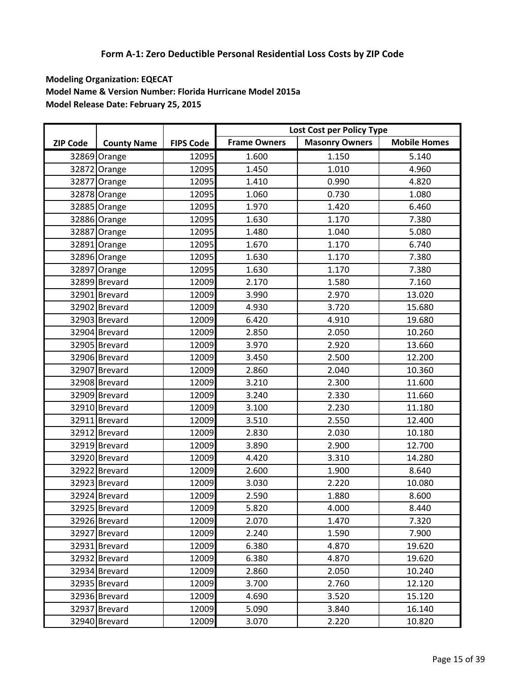|                 |                    |                  |                     | Lost Cost per Policy Type |                     |
|-----------------|--------------------|------------------|---------------------|---------------------------|---------------------|
| <b>ZIP Code</b> | <b>County Name</b> | <b>FIPS Code</b> | <b>Frame Owners</b> | <b>Masonry Owners</b>     | <b>Mobile Homes</b> |
|                 | 32869 Orange       | 12095            | 1.600               | 1.150                     | 5.140               |
|                 | 32872 Orange       | 12095            | 1.450               | 1.010                     | 4.960               |
|                 | 32877 Orange       | 12095            | 1.410               | 0.990                     | 4.820               |
|                 | 32878 Orange       | 12095            | 1.060               | 0.730                     | 1.080               |
|                 | 32885 Orange       | 12095            | 1.970               | 1.420                     | 6.460               |
|                 | 32886 Orange       | 12095            | 1.630               | 1.170                     | 7.380               |
|                 | 32887 Orange       | 12095            | 1.480               | 1.040                     | 5.080               |
|                 | 32891 Orange       | 12095            | 1.670               | 1.170                     | 6.740               |
|                 | 32896 Orange       | 12095            | 1.630               | 1.170                     | 7.380               |
|                 | 32897 Orange       | 12095            | 1.630               | 1.170                     | 7.380               |
|                 | 32899 Brevard      | 12009            | 2.170               | 1.580                     | 7.160               |
|                 | 32901 Brevard      | 12009            | 3.990               | 2.970                     | 13.020              |
|                 | 32902 Brevard      | 12009            | 4.930               | 3.720                     | 15.680              |
|                 | 32903 Brevard      | 12009            | 6.420               | 4.910                     | 19.680              |
|                 | 32904 Brevard      | 12009            | 2.850               | 2.050                     | 10.260              |
|                 | 32905 Brevard      | 12009            | 3.970               | 2.920                     | 13.660              |
|                 | 32906 Brevard      | 12009            | 3.450               | 2.500                     | 12.200              |
|                 | 32907 Brevard      | 12009            | 2.860               | 2.040                     | 10.360              |
|                 | 32908 Brevard      | 12009            | 3.210               | 2.300                     | 11.600              |
|                 | 32909 Brevard      | 12009            | 3.240               | 2.330                     | 11.660              |
|                 | 32910 Brevard      | 12009            | 3.100               | 2.230                     | 11.180              |
|                 | 32911 Brevard      | 12009            | 3.510               | 2.550                     | 12.400              |
|                 | 32912 Brevard      | 12009            | 2.830               | 2.030                     | 10.180              |
|                 | 32919 Brevard      | 12009            | 3.890               | 2.900                     | 12.700              |
|                 | 32920 Brevard      | 12009            | 4.420               | 3.310                     | 14.280              |
|                 | 32922 Brevard      | 12009            | 2.600               | 1.900                     | 8.640               |
|                 | 32923 Brevard      | 12009            | 3.030               | 2.220                     | 10.080              |
|                 | 32924 Brevard      | 12009            | 2.590               | 1.880                     | 8.600               |
|                 | 32925 Brevard      | 12009            | 5.820               | 4.000                     | 8.440               |
|                 | 32926 Brevard      | 12009            | 2.070               | 1.470                     | 7.320               |
|                 | 32927 Brevard      | 12009            | 2.240               | 1.590                     | 7.900               |
|                 | 32931 Brevard      | 12009            | 6.380               | 4.870                     | 19.620              |
|                 | 32932 Brevard      | 12009            | 6.380               | 4.870                     | 19.620              |
|                 | 32934 Brevard      | 12009            | 2.860               | 2.050                     | 10.240              |
|                 | 32935 Brevard      | 12009            | 3.700               | 2.760                     | 12.120              |
|                 | 32936 Brevard      | 12009            | 4.690               | 3.520                     | 15.120              |
|                 | 32937 Brevard      | 12009            | 5.090               | 3.840                     | 16.140              |
|                 | 32940 Brevard      | 12009            | 3.070               | 2.220                     | 10.820              |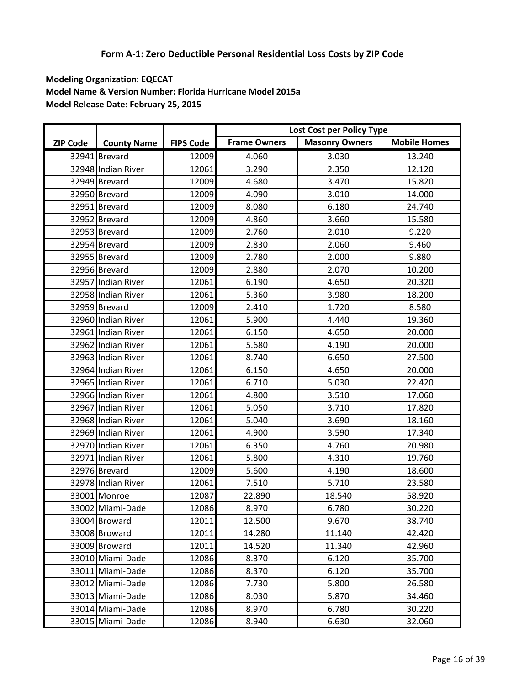|                 |                    |                  |                     | Lost Cost per Policy Type |                     |
|-----------------|--------------------|------------------|---------------------|---------------------------|---------------------|
| <b>ZIP Code</b> | <b>County Name</b> | <b>FIPS Code</b> | <b>Frame Owners</b> | <b>Masonry Owners</b>     | <b>Mobile Homes</b> |
|                 | 32941 Brevard      | 12009            | 4.060               | 3.030                     | 13.240              |
|                 | 32948 Indian River | 12061            | 3.290               | 2.350                     | 12.120              |
|                 | 32949 Brevard      | 12009            | 4.680               | 3.470                     | 15.820              |
|                 | 32950 Brevard      | 12009            | 4.090               | 3.010                     | 14.000              |
|                 | 32951 Brevard      | 12009            | 8.080               | 6.180                     | 24.740              |
|                 | 32952 Brevard      | 12009            | 4.860               | 3.660                     | 15.580              |
|                 | 32953 Brevard      | 12009            | 2.760               | 2.010                     | 9.220               |
|                 | 32954 Brevard      | 12009            | 2.830               | 2.060                     | 9.460               |
|                 | 32955 Brevard      | 12009            | 2.780               | 2.000                     | 9.880               |
|                 | 32956 Brevard      | 12009            | 2.880               | 2.070                     | 10.200              |
|                 | 32957 Indian River | 12061            | 6.190               | 4.650                     | 20.320              |
|                 | 32958 Indian River | 12061            | 5.360               | 3.980                     | 18.200              |
|                 | 32959 Brevard      | 12009            | 2.410               | 1.720                     | 8.580               |
|                 | 32960 Indian River | 12061            | 5.900               | 4.440                     | 19.360              |
|                 | 32961 Indian River | 12061            | 6.150               | 4.650                     | 20.000              |
|                 | 32962 Indian River | 12061            | 5.680               | 4.190                     | 20.000              |
|                 | 32963 Indian River | 12061            | 8.740               | 6.650                     | 27.500              |
|                 | 32964 Indian River | 12061            | 6.150               | 4.650                     | 20.000              |
|                 | 32965 Indian River | 12061            | 6.710               | 5.030                     | 22.420              |
|                 | 32966 Indian River | 12061            | 4.800               | 3.510                     | 17.060              |
|                 | 32967 Indian River | 12061            | 5.050               | 3.710                     | 17.820              |
|                 | 32968 Indian River | 12061            | 5.040               | 3.690                     | 18.160              |
|                 | 32969 Indian River | 12061            | 4.900               | 3.590                     | 17.340              |
|                 | 32970 Indian River | 12061            | 6.350               | 4.760                     | 20.980              |
|                 | 32971 Indian River | 12061            | 5.800               | 4.310                     | 19.760              |
|                 | 32976 Brevard      | 12009            | 5.600               | 4.190                     | 18.600              |
|                 | 32978 Indian River | 12061            | 7.510               | 5.710                     | 23.580              |
|                 | 33001 Monroe       | 12087            | 22.890              | 18.540                    | 58.920              |
|                 | 33002 Miami-Dade   | 12086            | 8.970               | 6.780                     | 30.220              |
|                 | 33004 Broward      | 12011            | 12.500              | 9.670                     | 38.740              |
|                 | 33008 Broward      | 12011            | 14.280              | 11.140                    | 42.420              |
|                 | 33009 Broward      | 12011            | 14.520              | 11.340                    | 42.960              |
|                 | 33010 Miami-Dade   | 12086            | 8.370               | 6.120                     | 35.700              |
|                 | 33011 Miami-Dade   | 12086            | 8.370               | 6.120                     | 35.700              |
|                 | 33012 Miami-Dade   | 12086            | 7.730               | 5.800                     | 26.580              |
|                 | 33013 Miami-Dade   | 12086            | 8.030               | 5.870                     | 34.460              |
|                 | 33014 Miami-Dade   | 12086            | 8.970               | 6.780                     | 30.220              |
|                 | 33015 Miami-Dade   | 12086            | 8.940               | 6.630                     | 32.060              |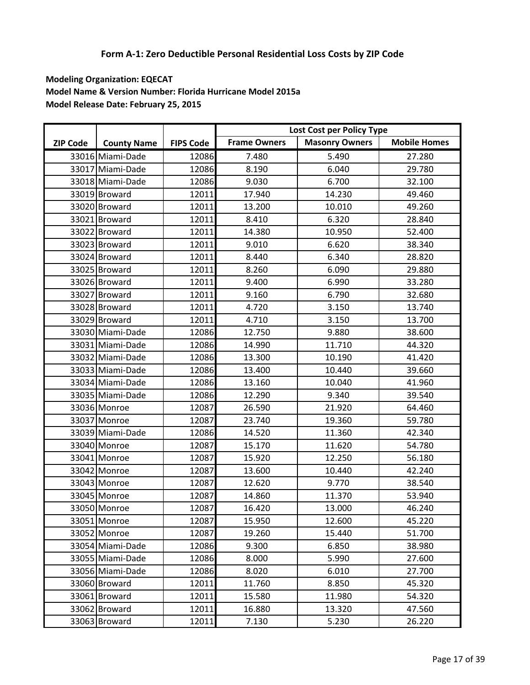|                 |                    |                  |                     | Lost Cost per Policy Type |                     |
|-----------------|--------------------|------------------|---------------------|---------------------------|---------------------|
| <b>ZIP Code</b> | <b>County Name</b> | <b>FIPS Code</b> | <b>Frame Owners</b> | <b>Masonry Owners</b>     | <b>Mobile Homes</b> |
|                 | 33016 Miami-Dade   | 12086            | 7.480               | 5.490                     | 27.280              |
|                 | 33017 Miami-Dade   | 12086            | 8.190               | 6.040                     | 29.780              |
|                 | 33018 Miami-Dade   | 12086            | 9.030               | 6.700                     | 32.100              |
|                 | 33019 Broward      | 12011            | 17.940              | 14.230                    | 49.460              |
|                 | 33020 Broward      | 12011            | 13.200              | 10.010                    | 49.260              |
|                 | 33021 Broward      | 12011            | 8.410               | 6.320                     | 28.840              |
|                 | 33022 Broward      | 12011            | 14.380              | 10.950                    | 52.400              |
|                 | 33023 Broward      | 12011            | 9.010               | 6.620                     | 38.340              |
|                 | 33024 Broward      | 12011            | 8.440               | 6.340                     | 28.820              |
|                 | 33025 Broward      | 12011            | 8.260               | 6.090                     | 29.880              |
|                 | 33026 Broward      | 12011            | 9.400               | 6.990                     | 33.280              |
|                 | 33027 Broward      | 12011            | 9.160               | 6.790                     | 32.680              |
|                 | 33028 Broward      | 12011            | 4.720               | 3.150                     | 13.740              |
|                 | 33029 Broward      | 12011            | 4.710               | 3.150                     | 13.700              |
|                 | 33030 Miami-Dade   | 12086            | 12.750              | 9.880                     | 38.600              |
|                 | 33031 Miami-Dade   | 12086            | 14.990              | 11.710                    | 44.320              |
|                 | 33032 Miami-Dade   | 12086            | 13.300              | 10.190                    | 41.420              |
|                 | 33033 Miami-Dade   | 12086            | 13.400              | 10.440                    | 39.660              |
|                 | 33034 Miami-Dade   | 12086            | 13.160              | 10.040                    | 41.960              |
|                 | 33035 Miami-Dade   | 12086            | 12.290              | 9.340                     | 39.540              |
|                 | 33036 Monroe       | 12087            | 26.590              | 21.920                    | 64.460              |
|                 | 33037 Monroe       | 12087            | 23.740              | 19.360                    | 59.780              |
|                 | 33039 Miami-Dade   | 12086            | 14.520              | 11.360                    | 42.340              |
|                 | 33040 Monroe       | 12087            | 15.170              | 11.620                    | 54.780              |
|                 | 33041 Monroe       | 12087            | 15.920              | 12.250                    | 56.180              |
|                 | 33042 Monroe       | 12087            | 13.600              | 10.440                    | 42.240              |
|                 | 33043 Monroe       | 12087            | 12.620              | 9.770                     | 38.540              |
|                 | 33045 Monroe       | 12087            | 14.860              | 11.370                    | 53.940              |
|                 | 33050 Monroe       | 12087            | 16.420              | 13.000                    | 46.240              |
|                 | 33051 Monroe       | 12087            | 15.950              | 12.600                    | 45.220              |
|                 | 33052 Monroe       | 12087            | 19.260              | 15.440                    | 51.700              |
|                 | 33054 Miami-Dade   | 12086            | 9.300               | 6.850                     | 38.980              |
|                 | 33055 Miami-Dade   | 12086            | 8.000               | 5.990                     | 27.600              |
|                 | 33056 Miami-Dade   | 12086            | 8.020               | 6.010                     | 27.700              |
|                 | 33060 Broward      | 12011            | 11.760              | 8.850                     | 45.320              |
|                 | 33061 Broward      | 12011            | 15.580              | 11.980                    | 54.320              |
|                 | 33062 Broward      | 12011            | 16.880              | 13.320                    | 47.560              |
|                 | 33063 Broward      | 12011            | 7.130               | 5.230                     | 26.220              |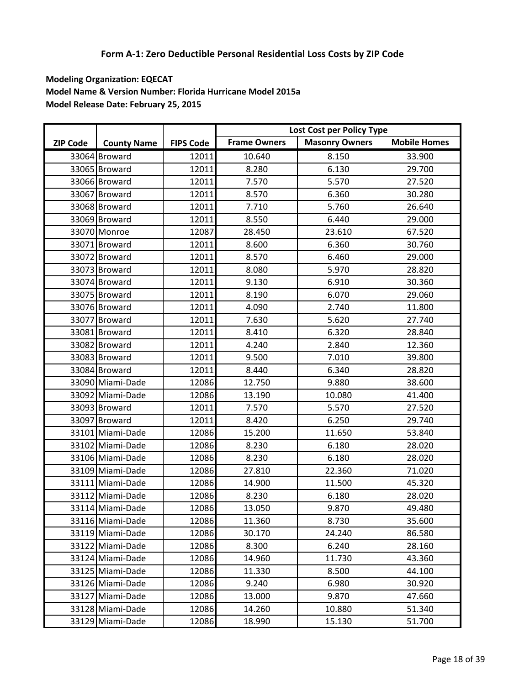|                 |                    |                  |                     | Lost Cost per Policy Type |                     |
|-----------------|--------------------|------------------|---------------------|---------------------------|---------------------|
| <b>ZIP Code</b> | <b>County Name</b> | <b>FIPS Code</b> | <b>Frame Owners</b> | <b>Masonry Owners</b>     | <b>Mobile Homes</b> |
|                 | 33064 Broward      | 12011            | 10.640              | 8.150                     | 33.900              |
|                 | 33065 Broward      | 12011            | 8.280               | 6.130                     | 29.700              |
|                 | 33066 Broward      | 12011            | 7.570               | 5.570                     | 27.520              |
|                 | 33067 Broward      | 12011            | 8.570               | 6.360                     | 30.280              |
|                 | 33068 Broward      | 12011            | 7.710               | 5.760                     | 26.640              |
|                 | 33069 Broward      | 12011            | 8.550               | 6.440                     | 29.000              |
|                 | 33070 Monroe       | 12087            | 28.450              | 23.610                    | 67.520              |
|                 | 33071 Broward      | 12011            | 8.600               | 6.360                     | 30.760              |
|                 | 33072 Broward      | 12011            | 8.570               | 6.460                     | 29.000              |
|                 | 33073 Broward      | 12011            | 8.080               | 5.970                     | 28.820              |
|                 | 33074 Broward      | 12011            | 9.130               | 6.910                     | 30.360              |
|                 | 33075 Broward      | 12011            | 8.190               | 6.070                     | 29.060              |
|                 | 33076 Broward      | 12011            | 4.090               | 2.740                     | 11.800              |
|                 | 33077 Broward      | 12011            | 7.630               | 5.620                     | 27.740              |
|                 | 33081 Broward      | 12011            | 8.410               | 6.320                     | 28.840              |
|                 | 33082 Broward      | 12011            | 4.240               | 2.840                     | 12.360              |
|                 | 33083 Broward      | 12011            | 9.500               | 7.010                     | 39.800              |
|                 | 33084 Broward      | 12011            | 8.440               | 6.340                     | 28.820              |
|                 | 33090 Miami-Dade   | 12086            | 12.750              | 9.880                     | 38.600              |
|                 | 33092 Miami-Dade   | 12086            | 13.190              | 10.080                    | 41.400              |
|                 | 33093 Broward      | 12011            | 7.570               | 5.570                     | 27.520              |
|                 | 33097 Broward      | 12011            | 8.420               | 6.250                     | 29.740              |
|                 | 33101 Miami-Dade   | 12086            | 15.200              | 11.650                    | 53.840              |
|                 | 33102 Miami-Dade   | 12086            | 8.230               | 6.180                     | 28.020              |
|                 | 33106 Miami-Dade   | 12086            | 8.230               | 6.180                     | 28.020              |
|                 | 33109 Miami-Dade   | 12086            | 27.810              | 22.360                    | 71.020              |
|                 | 33111 Miami-Dade   | 12086            | 14.900              | 11.500                    | 45.320              |
|                 | 33112 Miami-Dade   | 12086            | 8.230               | 6.180                     | 28.020              |
|                 | 33114 Miami-Dade   | 12086            | 13.050              | 9.870                     | 49.480              |
|                 | 33116 Miami-Dade   | 12086            | 11.360              | 8.730                     | 35.600              |
|                 | 33119 Miami-Dade   | 12086            | 30.170              | 24.240                    | 86.580              |
|                 | 33122 Miami-Dade   | 12086            | 8.300               | 6.240                     | 28.160              |
|                 | 33124 Miami-Dade   | 12086            | 14.960              | 11.730                    | 43.360              |
|                 | 33125 Miami-Dade   | 12086            | 11.330              | 8.500                     | 44.100              |
|                 | 33126 Miami-Dade   | 12086            | 9.240               | 6.980                     | 30.920              |
|                 | 33127 Miami-Dade   | 12086            | 13.000              | 9.870                     | 47.660              |
|                 | 33128 Miami-Dade   | 12086            | 14.260              | 10.880                    | 51.340              |
|                 | 33129 Miami-Dade   | 12086            | 18.990              | 15.130                    | 51.700              |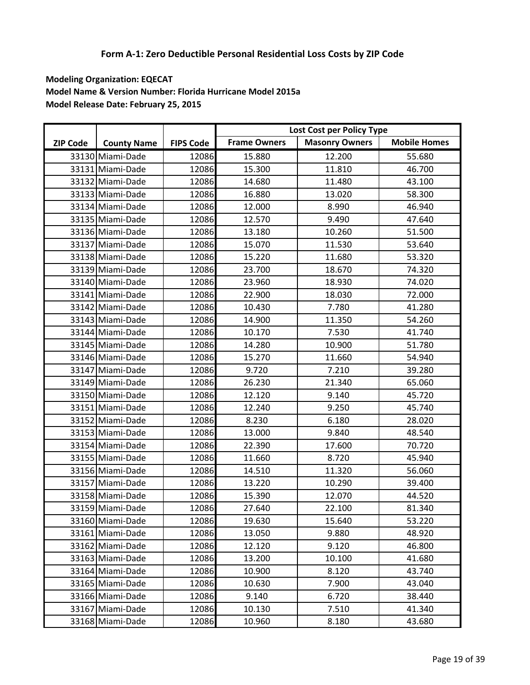|                 |                    |                  |                     | Lost Cost per Policy Type |                     |
|-----------------|--------------------|------------------|---------------------|---------------------------|---------------------|
| <b>ZIP Code</b> | <b>County Name</b> | <b>FIPS Code</b> | <b>Frame Owners</b> | <b>Masonry Owners</b>     | <b>Mobile Homes</b> |
|                 | 33130 Miami-Dade   | 12086            | 15.880              | 12.200                    | 55.680              |
|                 | 33131 Miami-Dade   | 12086            | 15.300              | 11.810                    | 46.700              |
|                 | 33132 Miami-Dade   | 12086            | 14.680              | 11.480                    | 43.100              |
|                 | 33133 Miami-Dade   | 12086            | 16.880              | 13.020                    | 58.300              |
|                 | 33134 Miami-Dade   | 12086            | 12.000              | 8.990                     | 46.940              |
|                 | 33135 Miami-Dade   | 12086            | 12.570              | 9.490                     | 47.640              |
|                 | 33136 Miami-Dade   | 12086            | 13.180              | 10.260                    | 51.500              |
|                 | 33137 Miami-Dade   | 12086            | 15.070              | 11.530                    | 53.640              |
|                 | 33138 Miami-Dade   | 12086            | 15.220              | 11.680                    | 53.320              |
|                 | 33139 Miami-Dade   | 12086            | 23.700              | 18.670                    | 74.320              |
|                 | 33140 Miami-Dade   | 12086            | 23.960              | 18.930                    | 74.020              |
|                 | 33141 Miami-Dade   | 12086            | 22.900              | 18.030                    | 72.000              |
|                 | 33142 Miami-Dade   | 12086            | 10.430              | 7.780                     | 41.280              |
|                 | 33143 Miami-Dade   | 12086            | 14.900              | 11.350                    | 54.260              |
|                 | 33144 Miami-Dade   | 12086            | 10.170              | 7.530                     | 41.740              |
|                 | 33145 Miami-Dade   | 12086            | 14.280              | 10.900                    | 51.780              |
|                 | 33146 Miami-Dade   | 12086            | 15.270              | 11.660                    | 54.940              |
|                 | 33147 Miami-Dade   | 12086            | 9.720               | 7.210                     | 39.280              |
|                 | 33149 Miami-Dade   | 12086            | 26.230              | 21.340                    | 65.060              |
|                 | 33150 Miami-Dade   | 12086            | 12.120              | 9.140                     | 45.720              |
|                 | 33151 Miami-Dade   | 12086            | 12.240              | 9.250                     | 45.740              |
|                 | 33152 Miami-Dade   | 12086            | 8.230               | 6.180                     | 28.020              |
|                 | 33153 Miami-Dade   | 12086            | 13.000              | 9.840                     | 48.540              |
|                 | 33154 Miami-Dade   | 12086            | 22.390              | 17.600                    | 70.720              |
|                 | 33155 Miami-Dade   | 12086            | 11.660              | 8.720                     | 45.940              |
|                 | 33156 Miami-Dade   | 12086            | 14.510              | 11.320                    | 56.060              |
|                 | 33157 Miami-Dade   | 12086            | 13.220              | 10.290                    | 39.400              |
|                 | 33158 Miami-Dade   | 12086            | 15.390              | 12.070                    | 44.520              |
|                 | 33159 Miami-Dade   | 12086            | 27.640              | 22.100                    | 81.340              |
|                 | 33160 Miami-Dade   | 12086            | 19.630              | 15.640                    | 53.220              |
|                 | 33161 Miami-Dade   | 12086            | 13.050              | 9.880                     | 48.920              |
|                 | 33162 Miami-Dade   | 12086            | 12.120              | 9.120                     | 46.800              |
|                 | 33163 Miami-Dade   | 12086            | 13.200              | 10.100                    | 41.680              |
|                 | 33164 Miami-Dade   | 12086            | 10.900              | 8.120                     | 43.740              |
|                 | 33165 Miami-Dade   | 12086            | 10.630              | 7.900                     | 43.040              |
|                 | 33166 Miami-Dade   | 12086            | 9.140               | 6.720                     | 38.440              |
|                 | 33167 Miami-Dade   | 12086            | 10.130              | 7.510                     | 41.340              |
|                 | 33168 Miami-Dade   | 12086            | 10.960              | 8.180                     | 43.680              |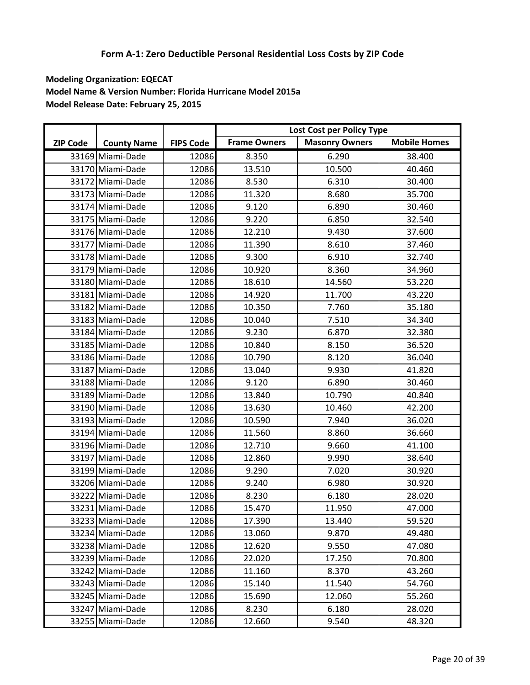|                 |                    |                  |                     | Lost Cost per Policy Type |                     |
|-----------------|--------------------|------------------|---------------------|---------------------------|---------------------|
| <b>ZIP Code</b> | <b>County Name</b> | <b>FIPS Code</b> | <b>Frame Owners</b> | <b>Masonry Owners</b>     | <b>Mobile Homes</b> |
|                 | 33169 Miami-Dade   | 12086            | 8.350               | 6.290                     | 38.400              |
|                 | 33170 Miami-Dade   | 12086            | 13.510              | 10.500                    | 40.460              |
|                 | 33172 Miami-Dade   | 12086            | 8.530               | 6.310                     | 30.400              |
|                 | 33173 Miami-Dade   | 12086            | 11.320              | 8.680                     | 35.700              |
|                 | 33174 Miami-Dade   | 12086            | 9.120               | 6.890                     | 30.460              |
|                 | 33175 Miami-Dade   | 12086            | 9.220               | 6.850                     | 32.540              |
|                 | 33176 Miami-Dade   | 12086            | 12.210              | 9.430                     | 37.600              |
|                 | 33177 Miami-Dade   | 12086            | 11.390              | 8.610                     | 37.460              |
|                 | 33178 Miami-Dade   | 12086            | 9.300               | 6.910                     | 32.740              |
|                 | 33179 Miami-Dade   | 12086            | 10.920              | 8.360                     | 34.960              |
|                 | 33180 Miami-Dade   | 12086            | 18.610              | 14.560                    | 53.220              |
|                 | 33181 Miami-Dade   | 12086            | 14.920              | 11.700                    | 43.220              |
|                 | 33182 Miami-Dade   | 12086            | 10.350              | 7.760                     | 35.180              |
|                 | 33183 Miami-Dade   | 12086            | 10.040              | 7.510                     | 34.340              |
|                 | 33184 Miami-Dade   | 12086            | 9.230               | 6.870                     | 32.380              |
|                 | 33185 Miami-Dade   | 12086            | 10.840              | 8.150                     | 36.520              |
|                 | 33186 Miami-Dade   | 12086            | 10.790              | 8.120                     | 36.040              |
|                 | 33187 Miami-Dade   | 12086            | 13.040              | 9.930                     | 41.820              |
|                 | 33188 Miami-Dade   | 12086            | 9.120               | 6.890                     | 30.460              |
|                 | 33189 Miami-Dade   | 12086            | 13.840              | 10.790                    | 40.840              |
|                 | 33190 Miami-Dade   | 12086            | 13.630              | 10.460                    | 42.200              |
|                 | 33193 Miami-Dade   | 12086            | 10.590              | 7.940                     | 36.020              |
|                 | 33194 Miami-Dade   | 12086            | 11.560              | 8.860                     | 36.660              |
|                 | 33196 Miami-Dade   | 12086            | 12.710              | 9.660                     | 41.100              |
|                 | 33197 Miami-Dade   | 12086            | 12.860              | 9.990                     | 38.640              |
|                 | 33199 Miami-Dade   | 12086            | 9.290               | 7.020                     | 30.920              |
|                 | 33206 Miami-Dade   | 12086            | 9.240               | 6.980                     | 30.920              |
|                 | 33222 Miami-Dade   | 12086            | 8.230               | 6.180                     | 28.020              |
|                 | 33231 Miami-Dade   | 12086            | 15.470              | 11.950                    | 47.000              |
|                 | 33233 Miami-Dade   | 12086            | 17.390              | 13.440                    | 59.520              |
|                 | 33234 Miami-Dade   | 12086            | 13.060              | 9.870                     | 49.480              |
|                 | 33238 Miami-Dade   | 12086            | 12.620              | 9.550                     | 47.080              |
|                 | 33239 Miami-Dade   | 12086            | 22.020              | 17.250                    | 70.800              |
|                 | 33242 Miami-Dade   | 12086            | 11.160              | 8.370                     | 43.260              |
|                 | 33243 Miami-Dade   | 12086            | 15.140              | 11.540                    | 54.760              |
|                 | 33245 Miami-Dade   | 12086            | 15.690              | 12.060                    | 55.260              |
|                 | 33247 Miami-Dade   | 12086            | 8.230               | 6.180                     | 28.020              |
|                 | 33255 Miami-Dade   | 12086            | 12.660              | 9.540                     | 48.320              |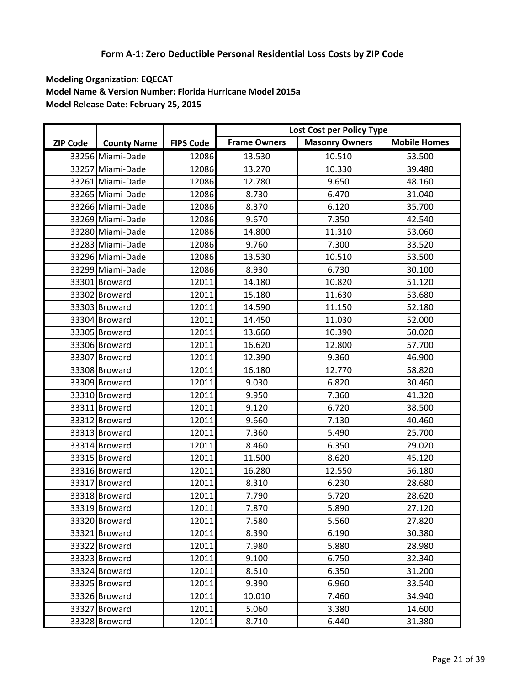|                 |                    |                  |                     | Lost Cost per Policy Type |                     |
|-----------------|--------------------|------------------|---------------------|---------------------------|---------------------|
| <b>ZIP Code</b> | <b>County Name</b> | <b>FIPS Code</b> | <b>Frame Owners</b> | <b>Masonry Owners</b>     | <b>Mobile Homes</b> |
|                 | 33256 Miami-Dade   | 12086            | 13.530              | 10.510                    | 53.500              |
|                 | 33257 Miami-Dade   | 12086            | 13.270              | 10.330                    | 39.480              |
|                 | 33261 Miami-Dade   | 12086            | 12.780              | 9.650                     | 48.160              |
|                 | 33265 Miami-Dade   | 12086            | 8.730               | 6.470                     | 31.040              |
|                 | 33266 Miami-Dade   | 12086            | 8.370               | 6.120                     | 35.700              |
|                 | 33269 Miami-Dade   | 12086            | 9.670               | 7.350                     | 42.540              |
|                 | 33280 Miami-Dade   | 12086            | 14.800              | 11.310                    | 53.060              |
|                 | 33283 Miami-Dade   | 12086            | 9.760               | 7.300                     | 33.520              |
|                 | 33296 Miami-Dade   | 12086            | 13.530              | 10.510                    | 53.500              |
|                 | 33299 Miami-Dade   | 12086            | 8.930               | 6.730                     | 30.100              |
|                 | 33301 Broward      | 12011            | 14.180              | 10.820                    | 51.120              |
|                 | 33302 Broward      | 12011            | 15.180              | 11.630                    | 53.680              |
|                 | 33303 Broward      | 12011            | 14.590              | 11.150                    | 52.180              |
|                 | 33304 Broward      | 12011            | 14.450              | 11.030                    | 52.000              |
|                 | 33305 Broward      | 12011            | 13.660              | 10.390                    | 50.020              |
|                 | 33306 Broward      | 12011            | 16.620              | 12.800                    | 57.700              |
|                 | 33307 Broward      | 12011            | 12.390              | 9.360                     | 46.900              |
|                 | 33308 Broward      | 12011            | 16.180              | 12.770                    | 58.820              |
|                 | 33309 Broward      | 12011            | 9.030               | 6.820                     | 30.460              |
|                 | 33310 Broward      | 12011            | 9.950               | 7.360                     | 41.320              |
|                 | 33311 Broward      | 12011            | 9.120               | 6.720                     | 38.500              |
|                 | 33312 Broward      | 12011            | 9.660               | 7.130                     | 40.460              |
|                 | 33313 Broward      | 12011            | 7.360               | 5.490                     | 25.700              |
|                 | 33314 Broward      | 12011            | 8.460               | 6.350                     | 29.020              |
|                 | 33315 Broward      | 12011            | 11.500              | 8.620                     | 45.120              |
|                 | 33316 Broward      | 12011            | 16.280              | 12.550                    | 56.180              |
|                 | 33317 Broward      | 12011            | 8.310               | 6.230                     | 28.680              |
|                 | 33318 Broward      | 12011            | 7.790               | 5.720                     | 28.620              |
|                 | 33319 Broward      | 12011            | 7.870               | 5.890                     | 27.120              |
|                 | 33320 Broward      | 12011            | 7.580               | 5.560                     | 27.820              |
|                 | 33321 Broward      | 12011            | 8.390               | 6.190                     | 30.380              |
|                 | 33322 Broward      | 12011            | 7.980               | 5.880                     | 28.980              |
|                 | 33323 Broward      | 12011            | 9.100               | 6.750                     | 32.340              |
|                 | 33324 Broward      | 12011            | 8.610               | 6.350                     | 31.200              |
|                 | 33325 Broward      | 12011            | 9.390               | 6.960                     | 33.540              |
|                 | 33326 Broward      | 12011            | 10.010              | 7.460                     | 34.940              |
|                 | 33327 Broward      | 12011            | 5.060               | 3.380                     | 14.600              |
|                 | 33328 Broward      | 12011            | 8.710               | 6.440                     | 31.380              |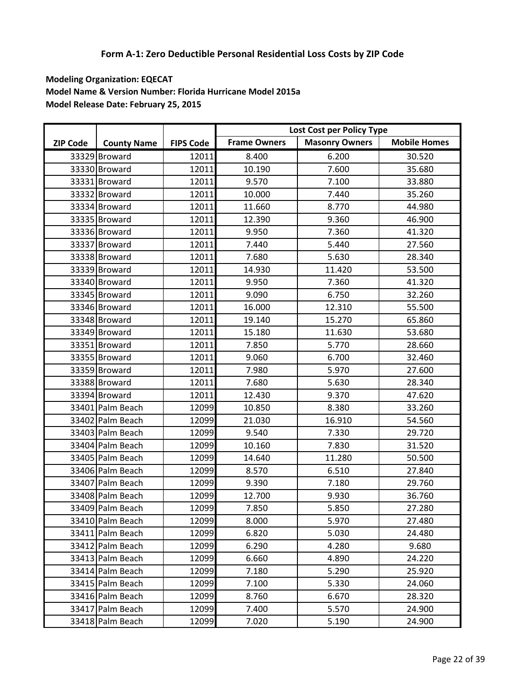|                 |                    |                  |                     | Lost Cost per Policy Type |                     |
|-----------------|--------------------|------------------|---------------------|---------------------------|---------------------|
| <b>ZIP Code</b> | <b>County Name</b> | <b>FIPS Code</b> | <b>Frame Owners</b> | <b>Masonry Owners</b>     | <b>Mobile Homes</b> |
|                 | 33329 Broward      | 12011            | 8.400               | 6.200                     | 30.520              |
|                 | 33330 Broward      | 12011            | 10.190              | 7.600                     | 35.680              |
|                 | 33331 Broward      | 12011            | 9.570               | 7.100                     | 33.880              |
|                 | 33332 Broward      | 12011            | 10.000              | 7.440                     | 35.260              |
|                 | 33334 Broward      | 12011            | 11.660              | 8.770                     | 44.980              |
|                 | 33335 Broward      | 12011            | 12.390              | 9.360                     | 46.900              |
|                 | 33336 Broward      | 12011            | 9.950               | 7.360                     | 41.320              |
|                 | 33337 Broward      | 12011            | 7.440               | 5.440                     | 27.560              |
|                 | 33338 Broward      | 12011            | 7.680               | 5.630                     | 28.340              |
|                 | 33339 Broward      | 12011            | 14.930              | 11.420                    | 53.500              |
|                 | 33340 Broward      | 12011            | 9.950               | 7.360                     | 41.320              |
|                 | 33345 Broward      | 12011            | 9.090               | 6.750                     | 32.260              |
|                 | 33346 Broward      | 12011            | 16.000              | 12.310                    | 55.500              |
|                 | 33348 Broward      | 12011            | 19.140              | 15.270                    | 65.860              |
|                 | 33349 Broward      | 12011            | 15.180              | 11.630                    | 53.680              |
|                 | 33351 Broward      | 12011            | 7.850               | 5.770                     | 28.660              |
|                 | 33355 Broward      | 12011            | 9.060               | 6.700                     | 32.460              |
|                 | 33359 Broward      | 12011            | 7.980               | 5.970                     | 27.600              |
|                 | 33388 Broward      | 12011            | 7.680               | 5.630                     | 28.340              |
|                 | 33394 Broward      | 12011            | 12.430              | 9.370                     | 47.620              |
|                 | 33401 Palm Beach   | 12099            | 10.850              | 8.380                     | 33.260              |
|                 | 33402 Palm Beach   | 12099            | 21.030              | 16.910                    | 54.560              |
|                 | 33403 Palm Beach   | 12099            | 9.540               | 7.330                     | 29.720              |
|                 | 33404 Palm Beach   | 12099            | 10.160              | 7.830                     | 31.520              |
|                 | 33405 Palm Beach   | 12099            | 14.640              | 11.280                    | 50.500              |
|                 | 33406 Palm Beach   | 12099            | 8.570               | 6.510                     | 27.840              |
|                 | 33407 Palm Beach   | 12099            | 9.390               | 7.180                     | 29.760              |
|                 | 33408 Palm Beach   | 12099            | 12.700              | 9.930                     | 36.760              |
|                 | 33409 Palm Beach   | 12099            | 7.850               | 5.850                     | 27.280              |
|                 | 33410 Palm Beach   | 12099            | 8.000               | 5.970                     | 27.480              |
|                 | 33411 Palm Beach   | 12099            | 6.820               | 5.030                     | 24.480              |
|                 | 33412 Palm Beach   | 12099            | 6.290               | 4.280                     | 9.680               |
|                 | 33413 Palm Beach   | 12099            | 6.660               | 4.890                     | 24.220              |
|                 | 33414 Palm Beach   | 12099            | 7.180               | 5.290                     | 25.920              |
|                 | 33415 Palm Beach   | 12099            | 7.100               | 5.330                     | 24.060              |
|                 | 33416 Palm Beach   | 12099            | 8.760               | 6.670                     | 28.320              |
|                 | 33417 Palm Beach   | 12099            | 7.400               | 5.570                     | 24.900              |
|                 | 33418 Palm Beach   | 12099            | 7.020               | 5.190                     | 24.900              |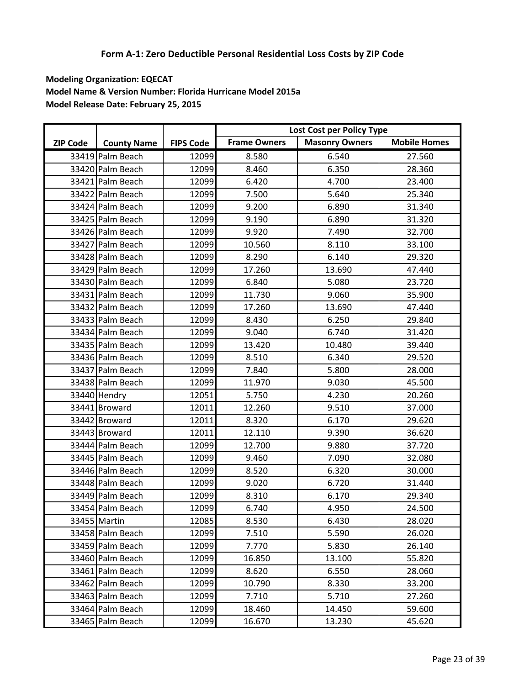|                 |                    |                  |                     | Lost Cost per Policy Type |                     |
|-----------------|--------------------|------------------|---------------------|---------------------------|---------------------|
| <b>ZIP Code</b> | <b>County Name</b> | <b>FIPS Code</b> | <b>Frame Owners</b> | <b>Masonry Owners</b>     | <b>Mobile Homes</b> |
|                 | 33419 Palm Beach   | 12099            | 8.580               | 6.540                     | 27.560              |
|                 | 33420 Palm Beach   | 12099            | 8.460               | 6.350                     | 28.360              |
|                 | 33421 Palm Beach   | 12099            | 6.420               | 4.700                     | 23.400              |
|                 | 33422 Palm Beach   | 12099            | 7.500               | 5.640                     | 25.340              |
|                 | 33424 Palm Beach   | 12099            | 9.200               | 6.890                     | 31.340              |
|                 | 33425 Palm Beach   | 12099            | 9.190               | 6.890                     | 31.320              |
|                 | 33426 Palm Beach   | 12099            | 9.920               | 7.490                     | 32.700              |
|                 | 33427 Palm Beach   | 12099            | 10.560              | 8.110                     | 33.100              |
|                 | 33428 Palm Beach   | 12099            | 8.290               | 6.140                     | 29.320              |
|                 | 33429 Palm Beach   | 12099            | 17.260              | 13.690                    | 47.440              |
|                 | 33430 Palm Beach   | 12099            | 6.840               | 5.080                     | 23.720              |
|                 | 33431 Palm Beach   | 12099            | 11.730              | 9.060                     | 35.900              |
|                 | 33432 Palm Beach   | 12099            | 17.260              | 13.690                    | 47.440              |
|                 | 33433 Palm Beach   | 12099            | 8.430               | 6.250                     | 29.840              |
|                 | 33434 Palm Beach   | 12099            | 9.040               | 6.740                     | 31.420              |
|                 | 33435 Palm Beach   | 12099            | 13.420              | 10.480                    | 39.440              |
|                 | 33436 Palm Beach   | 12099            | 8.510               | 6.340                     | 29.520              |
|                 | 33437 Palm Beach   | 12099            | 7.840               | 5.800                     | 28.000              |
|                 | 33438 Palm Beach   | 12099            | 11.970              | 9.030                     | 45.500              |
|                 | 33440 Hendry       | 12051            | 5.750               | 4.230                     | 20.260              |
|                 | 33441 Broward      | 12011            | 12.260              | 9.510                     | 37.000              |
|                 | 33442 Broward      | 12011            | 8.320               | 6.170                     | 29.620              |
|                 | 33443 Broward      | 12011            | 12.110              | 9.390                     | 36.620              |
|                 | 33444 Palm Beach   | 12099            | 12.700              | 9.880                     | 37.720              |
|                 | 33445 Palm Beach   | 12099            | 9.460               | 7.090                     | 32.080              |
|                 | 33446 Palm Beach   | 12099            | 8.520               | 6.320                     | 30.000              |
|                 | 33448 Palm Beach   | 12099            | 9.020               | 6.720                     | 31.440              |
|                 | 33449 Palm Beach   | 12099            | 8.310               | 6.170                     | 29.340              |
|                 | 33454 Palm Beach   | 12099            | 6.740               | 4.950                     | 24.500              |
|                 | 33455 Martin       | 12085            | 8.530               | 6.430                     | 28.020              |
|                 | 33458 Palm Beach   | 12099            | 7.510               | 5.590                     | 26.020              |
|                 | 33459 Palm Beach   | 12099            | 7.770               | 5.830                     | 26.140              |
|                 | 33460 Palm Beach   | 12099            | 16.850              | 13.100                    | 55.820              |
|                 | 33461 Palm Beach   | 12099            | 8.620               | 6.550                     | 28.060              |
|                 | 33462 Palm Beach   | 12099            | 10.790              | 8.330                     | 33.200              |
|                 | 33463 Palm Beach   | 12099            | 7.710               | 5.710                     | 27.260              |
|                 | 33464 Palm Beach   | 12099            | 18.460              | 14.450                    | 59.600              |
|                 | 33465 Palm Beach   | 12099            | 16.670              | 13.230                    | 45.620              |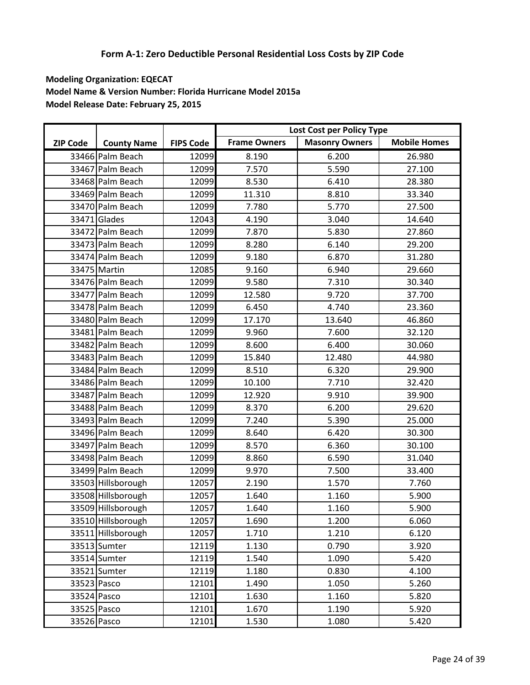|                 |                    |                  |                     | Lost Cost per Policy Type |                     |
|-----------------|--------------------|------------------|---------------------|---------------------------|---------------------|
| <b>ZIP Code</b> | <b>County Name</b> | <b>FIPS Code</b> | <b>Frame Owners</b> | <b>Masonry Owners</b>     | <b>Mobile Homes</b> |
|                 | 33466 Palm Beach   | 12099            | 8.190               | 6.200                     | 26.980              |
|                 | 33467 Palm Beach   | 12099            | 7.570               | 5.590                     | 27.100              |
|                 | 33468 Palm Beach   | 12099            | 8.530               | 6.410                     | 28.380              |
|                 | 33469 Palm Beach   | 12099            | 11.310              | 8.810                     | 33.340              |
|                 | 33470 Palm Beach   | 12099            | 7.780               | 5.770                     | 27.500              |
|                 | 33471 Glades       | 12043            | 4.190               | 3.040                     | 14.640              |
|                 | 33472 Palm Beach   | 12099            | 7.870               | 5.830                     | 27.860              |
|                 | 33473 Palm Beach   | 12099            | 8.280               | 6.140                     | 29.200              |
|                 | 33474 Palm Beach   | 12099            | 9.180               | 6.870                     | 31.280              |
|                 | 33475 Martin       | 12085            | 9.160               | 6.940                     | 29.660              |
|                 | 33476 Palm Beach   | 12099            | 9.580               | 7.310                     | 30.340              |
|                 | 33477 Palm Beach   | 12099            | 12.580              | 9.720                     | 37.700              |
|                 | 33478 Palm Beach   | 12099            | 6.450               | 4.740                     | 23.360              |
|                 | 33480 Palm Beach   | 12099            | 17.170              | 13.640                    | 46.860              |
|                 | 33481 Palm Beach   | 12099            | 9.960               | 7.600                     | 32.120              |
|                 | 33482 Palm Beach   | 12099            | 8.600               | 6.400                     | 30.060              |
|                 | 33483 Palm Beach   | 12099            | 15.840              | 12.480                    | 44.980              |
|                 | 33484 Palm Beach   | 12099            | 8.510               | 6.320                     | 29.900              |
|                 | 33486 Palm Beach   | 12099            | 10.100              | 7.710                     | 32.420              |
|                 | 33487 Palm Beach   | 12099            | 12.920              | 9.910                     | 39.900              |
|                 | 33488 Palm Beach   | 12099            | 8.370               | 6.200                     | 29.620              |
|                 | 33493 Palm Beach   | 12099            | 7.240               | 5.390                     | 25.000              |
|                 | 33496 Palm Beach   | 12099            | 8.640               | 6.420                     | 30.300              |
|                 | 33497 Palm Beach   | 12099            | 8.570               | 6.360                     | 30.100              |
|                 | 33498 Palm Beach   | 12099            | 8.860               | 6.590                     | 31.040              |
|                 | 33499 Palm Beach   | 12099            | 9.970               | 7.500                     | 33.400              |
|                 | 33503 Hillsborough | 12057            | 2.190               | 1.570                     | 7.760               |
|                 | 33508 Hillsborough | 12057            | 1.640               | 1.160                     | 5.900               |
|                 | 33509 Hillsborough | 12057            | 1.640               | 1.160                     | 5.900               |
|                 | 33510 Hillsborough | 12057            | 1.690               | 1.200                     | 6.060               |
|                 | 33511 Hillsborough | 12057            | 1.710               | 1.210                     | 6.120               |
|                 | 33513 Sumter       | 12119            | 1.130               | 0.790                     | 3.920               |
|                 | 33514 Sumter       | 12119            | 1.540               | 1.090                     | 5.420               |
|                 | 33521 Sumter       | 12119            | 1.180               | 0.830                     | 4.100               |
| 33523 Pasco     |                    | 12101            | 1.490               | 1.050                     | 5.260               |
| 33524 Pasco     |                    | 12101            | 1.630               | 1.160                     | 5.820               |
| 33525 Pasco     |                    | 12101            | 1.670               | 1.190                     | 5.920               |
| 33526 Pasco     |                    | 12101            | 1.530               | 1.080                     | 5.420               |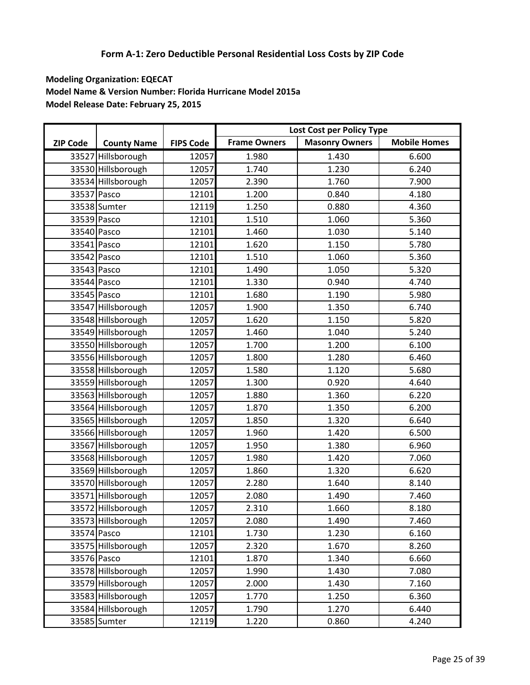|                 |                    |                  |                     | Lost Cost per Policy Type |                     |
|-----------------|--------------------|------------------|---------------------|---------------------------|---------------------|
| <b>ZIP Code</b> | <b>County Name</b> | <b>FIPS Code</b> | <b>Frame Owners</b> | <b>Masonry Owners</b>     | <b>Mobile Homes</b> |
|                 | 33527 Hillsborough | 12057            | 1.980               | 1.430                     | 6.600               |
|                 | 33530 Hillsborough | 12057            | 1.740               | 1.230                     | 6.240               |
|                 | 33534 Hillsborough | 12057            | 2.390               | 1.760                     | 7.900               |
| 33537 Pasco     |                    | 12101            | 1.200               | 0.840                     | 4.180               |
|                 | 33538 Sumter       | 12119            | 1.250               | 0.880                     | 4.360               |
| 33539 Pasco     |                    | 12101            | 1.510               | 1.060                     | 5.360               |
| 33540 Pasco     |                    | 12101            | 1.460               | 1.030                     | 5.140               |
| 33541 Pasco     |                    | 12101            | 1.620               | 1.150                     | 5.780               |
| 33542 Pasco     |                    | 12101            | 1.510               | 1.060                     | 5.360               |
| 33543 Pasco     |                    | 12101            | 1.490               | 1.050                     | 5.320               |
| 33544 Pasco     |                    | 12101            | 1.330               | 0.940                     | 4.740               |
| 33545 Pasco     |                    | 12101            | 1.680               | 1.190                     | 5.980               |
|                 | 33547 Hillsborough | 12057            | 1.900               | 1.350                     | 6.740               |
|                 | 33548 Hillsborough | 12057            | 1.620               | 1.150                     | 5.820               |
|                 | 33549 Hillsborough | 12057            | 1.460               | 1.040                     | 5.240               |
|                 | 33550 Hillsborough | 12057            | 1.700               | 1.200                     | 6.100               |
|                 | 33556 Hillsborough | 12057            | 1.800               | 1.280                     | 6.460               |
|                 | 33558 Hillsborough | 12057            | 1.580               | 1.120                     | 5.680               |
|                 | 33559 Hillsborough | 12057            | 1.300               | 0.920                     | 4.640               |
|                 | 33563 Hillsborough | 12057            | 1.880               | 1.360                     | 6.220               |
|                 | 33564 Hillsborough | 12057            | 1.870               | 1.350                     | 6.200               |
|                 | 33565 Hillsborough | 12057            | 1.850               | 1.320                     | 6.640               |
|                 | 33566 Hillsborough | 12057            | 1.960               | 1.420                     | 6.500               |
|                 | 33567 Hillsborough | 12057            | 1.950               | 1.380                     | 6.960               |
|                 | 33568 Hillsborough | 12057            | 1.980               | 1.420                     | 7.060               |
|                 | 33569 Hillsborough | 12057            | 1.860               | 1.320                     | 6.620               |
|                 | 33570 Hillsborough | 12057            | 2.280               | 1.640                     | 8.140               |
|                 | 33571 Hillsborough | 12057            | 2.080               | 1.490                     | 7.460               |
|                 | 33572 Hillsborough | 12057            | 2.310               | 1.660                     | 8.180               |
|                 | 33573 Hillsborough | 12057            | 2.080               | 1.490                     | 7.460               |
| 33574 Pasco     |                    | 12101            | 1.730               | 1.230                     | 6.160               |
|                 | 33575 Hillsborough | 12057            | 2.320               | 1.670                     | 8.260               |
| 33576 Pasco     |                    | 12101            | 1.870               | 1.340                     | 6.660               |
|                 | 33578 Hillsborough | 12057            | 1.990               | 1.430                     | 7.080               |
|                 | 33579 Hillsborough | 12057            | 2.000               | 1.430                     | 7.160               |
|                 | 33583 Hillsborough | 12057            | 1.770               | 1.250                     | 6.360               |
|                 | 33584 Hillsborough | 12057            | 1.790               | 1.270                     | 6.440               |
|                 | 33585 Sumter       | 12119            | 1.220               | 0.860                     | 4.240               |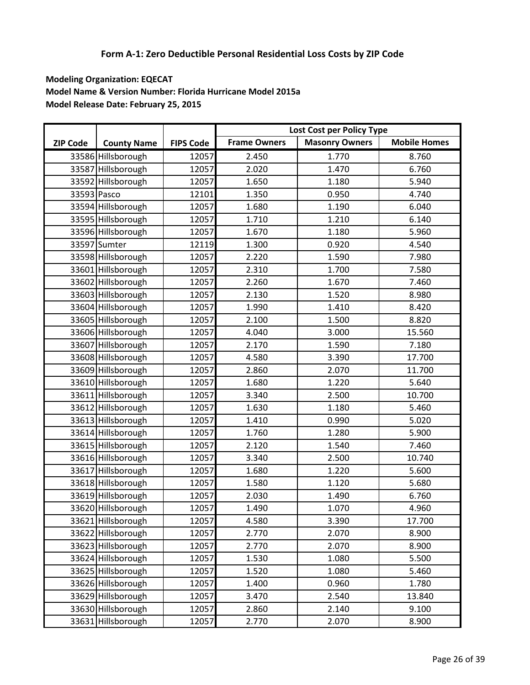|                 |                    |                  |                     | Lost Cost per Policy Type |                     |
|-----------------|--------------------|------------------|---------------------|---------------------------|---------------------|
| <b>ZIP Code</b> | <b>County Name</b> | <b>FIPS Code</b> | <b>Frame Owners</b> | <b>Masonry Owners</b>     | <b>Mobile Homes</b> |
|                 | 33586 Hillsborough | 12057            | 2.450               | 1.770                     | 8.760               |
|                 | 33587 Hillsborough | 12057            | 2.020               | 1.470                     | 6.760               |
|                 | 33592 Hillsborough | 12057            | 1.650               | 1.180                     | 5.940               |
| 33593 Pasco     |                    | 12101            | 1.350               | 0.950                     | 4.740               |
|                 | 33594 Hillsborough | 12057            | 1.680               | 1.190                     | 6.040               |
|                 | 33595 Hillsborough | 12057            | 1.710               | 1.210                     | 6.140               |
|                 | 33596 Hillsborough | 12057            | 1.670               | 1.180                     | 5.960               |
|                 | 33597 Sumter       | 12119            | 1.300               | 0.920                     | 4.540               |
|                 | 33598 Hillsborough | 12057            | 2.220               | 1.590                     | 7.980               |
|                 | 33601 Hillsborough | 12057            | 2.310               | 1.700                     | 7.580               |
|                 | 33602 Hillsborough | 12057            | 2.260               | 1.670                     | 7.460               |
|                 | 33603 Hillsborough | 12057            | 2.130               | 1.520                     | 8.980               |
|                 | 33604 Hillsborough | 12057            | 1.990               | 1.410                     | 8.420               |
|                 | 33605 Hillsborough | 12057            | 2.100               | 1.500                     | 8.820               |
|                 | 33606 Hillsborough | 12057            | 4.040               | 3.000                     | 15.560              |
|                 | 33607 Hillsborough | 12057            | 2.170               | 1.590                     | 7.180               |
|                 | 33608 Hillsborough | 12057            | 4.580               | 3.390                     | 17.700              |
|                 | 33609 Hillsborough | 12057            | 2.860               | 2.070                     | 11.700              |
|                 | 33610 Hillsborough | 12057            | 1.680               | 1.220                     | 5.640               |
|                 | 33611 Hillsborough | 12057            | 3.340               | 2.500                     | 10.700              |
|                 | 33612 Hillsborough | 12057            | 1.630               | 1.180                     | 5.460               |
|                 | 33613 Hillsborough | 12057            | 1.410               | 0.990                     | 5.020               |
|                 | 33614 Hillsborough | 12057            | 1.760               | 1.280                     | 5.900               |
|                 | 33615 Hillsborough | 12057            | 2.120               | 1.540                     | 7.460               |
|                 | 33616 Hillsborough | 12057            | 3.340               | 2.500                     | 10.740              |
|                 | 33617 Hillsborough | 12057            | 1.680               | 1.220                     | 5.600               |
|                 | 33618 Hillsborough | 12057            | 1.580               | 1.120                     | 5.680               |
|                 | 33619 Hillsborough | 12057            | 2.030               | 1.490                     | 6.760               |
|                 | 33620 Hillsborough | 12057            | 1.490               | 1.070                     | 4.960               |
|                 | 33621 Hillsborough | 12057            | 4.580               | 3.390                     | 17.700              |
|                 | 33622 Hillsborough | 12057            | 2.770               | 2.070                     | 8.900               |
|                 | 33623 Hillsborough | 12057            | 2.770               | 2.070                     | 8.900               |
|                 | 33624 Hillsborough | 12057            | 1.530               | 1.080                     | 5.500               |
|                 | 33625 Hillsborough | 12057            | 1.520               | 1.080                     | 5.460               |
|                 | 33626 Hillsborough | 12057            | 1.400               | 0.960                     | 1.780               |
|                 | 33629 Hillsborough | 12057            | 3.470               | 2.540                     | 13.840              |
|                 | 33630 Hillsborough | 12057            | 2.860               | 2.140                     | 9.100               |
|                 | 33631 Hillsborough | 12057            | 2.770               | 2.070                     | 8.900               |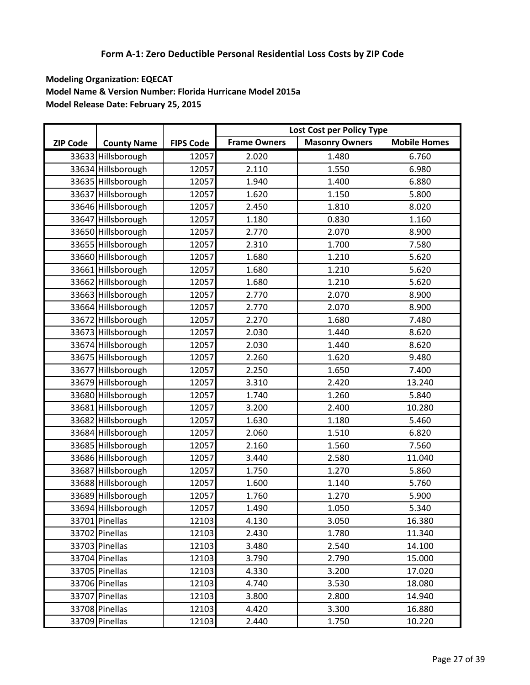|                 |                    |                  |                     | Lost Cost per Policy Type |                     |
|-----------------|--------------------|------------------|---------------------|---------------------------|---------------------|
| <b>ZIP Code</b> | <b>County Name</b> | <b>FIPS Code</b> | <b>Frame Owners</b> | <b>Masonry Owners</b>     | <b>Mobile Homes</b> |
|                 | 33633 Hillsborough | 12057            | 2.020               | 1.480                     | 6.760               |
|                 | 33634 Hillsborough | 12057            | 2.110               | 1.550                     | 6.980               |
|                 | 33635 Hillsborough | 12057            | 1.940               | 1.400                     | 6.880               |
|                 | 33637 Hillsborough | 12057            | 1.620               | 1.150                     | 5.800               |
|                 | 33646 Hillsborough | 12057            | 2.450               | 1.810                     | 8.020               |
|                 | 33647 Hillsborough | 12057            | 1.180               | 0.830                     | 1.160               |
|                 | 33650 Hillsborough | 12057            | 2.770               | 2.070                     | 8.900               |
|                 | 33655 Hillsborough | 12057            | 2.310               | 1.700                     | 7.580               |
|                 | 33660 Hillsborough | 12057            | 1.680               | 1.210                     | 5.620               |
|                 | 33661 Hillsborough | 12057            | 1.680               | 1.210                     | 5.620               |
|                 | 33662 Hillsborough | 12057            | 1.680               | 1.210                     | 5.620               |
|                 | 33663 Hillsborough | 12057            | 2.770               | 2.070                     | 8.900               |
|                 | 33664 Hillsborough | 12057            | 2.770               | 2.070                     | 8.900               |
|                 | 33672 Hillsborough | 12057            | 2.270               | 1.680                     | 7.480               |
|                 | 33673 Hillsborough | 12057            | 2.030               | 1.440                     | 8.620               |
|                 | 33674 Hillsborough | 12057            | 2.030               | 1.440                     | 8.620               |
|                 | 33675 Hillsborough | 12057            | 2.260               | 1.620                     | 9.480               |
|                 | 33677 Hillsborough | 12057            | 2.250               | 1.650                     | 7.400               |
|                 | 33679 Hillsborough | 12057            | 3.310               | 2.420                     | 13.240              |
|                 | 33680 Hillsborough | 12057            | 1.740               | 1.260                     | 5.840               |
|                 | 33681 Hillsborough | 12057            | 3.200               | 2.400                     | 10.280              |
|                 | 33682 Hillsborough | 12057            | 1.630               | 1.180                     | 5.460               |
|                 | 33684 Hillsborough | 12057            | 2.060               | 1.510                     | 6.820               |
|                 | 33685 Hillsborough | 12057            | 2.160               | 1.560                     | 7.560               |
|                 | 33686 Hillsborough | 12057            | 3.440               | 2.580                     | 11.040              |
|                 | 33687 Hillsborough | 12057            | 1.750               | 1.270                     | 5.860               |
|                 | 33688 Hillsborough | 12057            | 1.600               | 1.140                     | 5.760               |
|                 | 33689 Hillsborough | 12057            | 1.760               | 1.270                     | 5.900               |
|                 | 33694 Hillsborough | 12057            | 1.490               | 1.050                     | 5.340               |
|                 | 33701 Pinellas     | 12103            | 4.130               | 3.050                     | 16.380              |
|                 | 33702 Pinellas     | 12103            | 2.430               | 1.780                     | 11.340              |
|                 | 33703 Pinellas     | 12103            | 3.480               | 2.540                     | 14.100              |
|                 | 33704 Pinellas     | 12103            | 3.790               | 2.790                     | 15.000              |
|                 | 33705 Pinellas     | 12103            | 4.330               | 3.200                     | 17.020              |
|                 | 33706 Pinellas     | 12103            | 4.740               | 3.530                     | 18.080              |
|                 | 33707 Pinellas     | 12103            | 3.800               | 2.800                     | 14.940              |
|                 | 33708 Pinellas     | 12103            | 4.420               | 3.300                     | 16.880              |
|                 | 33709 Pinellas     | 12103            | 2.440               | 1.750                     | 10.220              |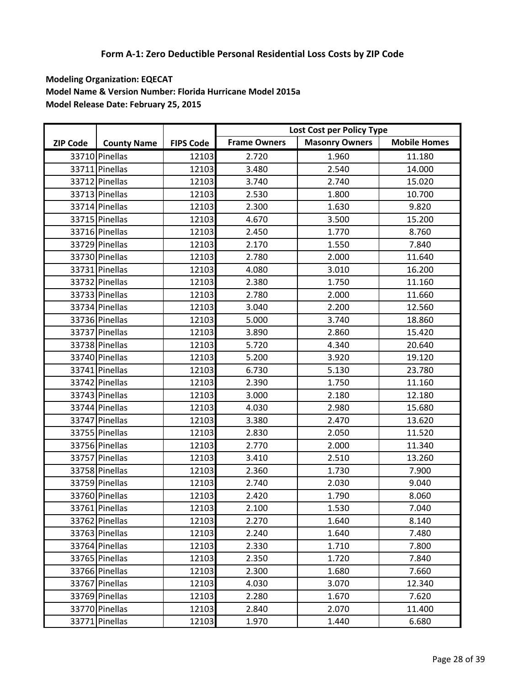|                 |                    |                  |                     | Lost Cost per Policy Type |                     |
|-----------------|--------------------|------------------|---------------------|---------------------------|---------------------|
| <b>ZIP Code</b> | <b>County Name</b> | <b>FIPS Code</b> | <b>Frame Owners</b> | <b>Masonry Owners</b>     | <b>Mobile Homes</b> |
|                 | 33710 Pinellas     | 12103            | 2.720               | 1.960                     | 11.180              |
|                 | 33711 Pinellas     | 12103            | 3.480               | 2.540                     | 14.000              |
|                 | 33712 Pinellas     | 12103            | 3.740               | 2.740                     | 15.020              |
|                 | 33713 Pinellas     | 12103            | 2.530               | 1.800                     | 10.700              |
|                 | 33714 Pinellas     | 12103            | 2.300               | 1.630                     | 9.820               |
|                 | 33715 Pinellas     | 12103            | 4.670               | 3.500                     | 15.200              |
|                 | 33716 Pinellas     | 12103            | 2.450               | 1.770                     | 8.760               |
|                 | 33729 Pinellas     | 12103            | 2.170               | 1.550                     | 7.840               |
|                 | 33730 Pinellas     | 12103            | 2.780               | 2.000                     | 11.640              |
|                 | 33731 Pinellas     | 12103            | 4.080               | 3.010                     | 16.200              |
|                 | 33732 Pinellas     | 12103            | 2.380               | 1.750                     | 11.160              |
|                 | 33733 Pinellas     | 12103            | 2.780               | 2.000                     | 11.660              |
|                 | 33734 Pinellas     | 12103            | 3.040               | 2.200                     | 12.560              |
|                 | 33736 Pinellas     | 12103            | 5.000               | 3.740                     | 18.860              |
|                 | 33737 Pinellas     | 12103            | 3.890               | 2.860                     | 15.420              |
|                 | 33738 Pinellas     | 12103            | 5.720               | 4.340                     | 20.640              |
|                 | 33740 Pinellas     | 12103            | 5.200               | 3.920                     | 19.120              |
|                 | 33741 Pinellas     | 12103            | 6.730               | 5.130                     | 23.780              |
|                 | 33742 Pinellas     | 12103            | 2.390               | 1.750                     | 11.160              |
|                 | 33743 Pinellas     | 12103            | 3.000               | 2.180                     | 12.180              |
|                 | 33744 Pinellas     | 12103            | 4.030               | 2.980                     | 15.680              |
|                 | 33747 Pinellas     | 12103            | 3.380               | 2.470                     | 13.620              |
|                 | 33755 Pinellas     | 12103            | 2.830               | 2.050                     | 11.520              |
|                 | 33756 Pinellas     | 12103            | 2.770               | 2.000                     | 11.340              |
|                 | 33757 Pinellas     | 12103            | 3.410               | 2.510                     | 13.260              |
|                 | 33758 Pinellas     | 12103            | 2.360               | 1.730                     | 7.900               |
|                 | 33759 Pinellas     | 12103            | 2.740               | 2.030                     | 9.040               |
|                 | 33760 Pinellas     | 12103            | 2.420               | 1.790                     | 8.060               |
|                 | 33761 Pinellas     | 12103            | 2.100               | 1.530                     | 7.040               |
|                 | 33762 Pinellas     | 12103            | 2.270               | 1.640                     | 8.140               |
|                 | 33763 Pinellas     | 12103            | 2.240               | 1.640                     | 7.480               |
|                 | 33764 Pinellas     | 12103            | 2.330               | 1.710                     | 7.800               |
|                 | 33765 Pinellas     | 12103            | 2.350               | 1.720                     | 7.840               |
|                 | 33766 Pinellas     | 12103            | 2.300               | 1.680                     | 7.660               |
|                 | 33767 Pinellas     | 12103            | 4.030               | 3.070                     | 12.340              |
|                 | 33769 Pinellas     | 12103            | 2.280               | 1.670                     | 7.620               |
|                 | 33770 Pinellas     | 12103            | 2.840               | 2.070                     | 11.400              |
|                 | 33771 Pinellas     | 12103            | 1.970               | 1.440                     | 6.680               |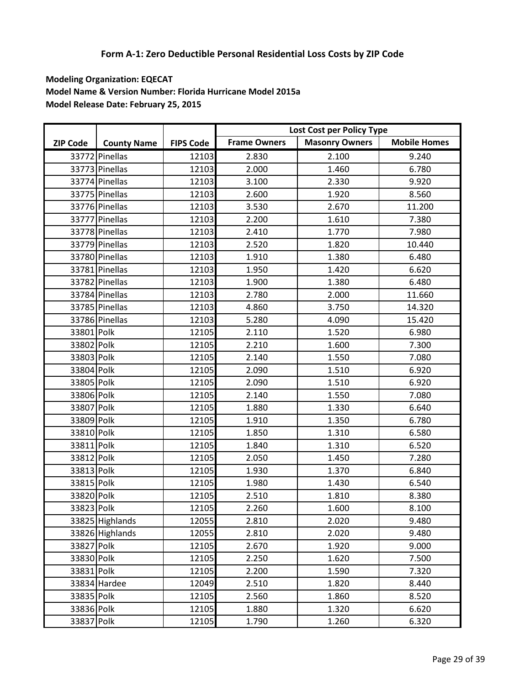|                 |                    |                  |                     | Lost Cost per Policy Type |                     |
|-----------------|--------------------|------------------|---------------------|---------------------------|---------------------|
| <b>ZIP Code</b> | <b>County Name</b> | <b>FIPS Code</b> | <b>Frame Owners</b> | <b>Masonry Owners</b>     | <b>Mobile Homes</b> |
|                 | 33772 Pinellas     | 12103            | 2.830               | 2.100                     | 9.240               |
|                 | 33773 Pinellas     | 12103            | 2.000               | 1.460                     | 6.780               |
|                 | 33774 Pinellas     | 12103            | 3.100               | 2.330                     | 9.920               |
|                 | 33775 Pinellas     | 12103            | 2.600               | 1.920                     | 8.560               |
|                 | 33776 Pinellas     | 12103            | 3.530               | 2.670                     | 11.200              |
|                 | 33777 Pinellas     | 12103            | 2.200               | 1.610                     | 7.380               |
|                 | 33778 Pinellas     | 12103            | 2.410               | 1.770                     | 7.980               |
|                 | 33779 Pinellas     | 12103            | 2.520               | 1.820                     | 10.440              |
|                 | 33780 Pinellas     | 12103            | 1.910               | 1.380                     | 6.480               |
|                 | 33781 Pinellas     | 12103            | 1.950               | 1.420                     | 6.620               |
|                 | 33782 Pinellas     | 12103            | 1.900               | 1.380                     | 6.480               |
|                 | 33784 Pinellas     | 12103            | 2.780               | 2.000                     | 11.660              |
|                 | 33785 Pinellas     | 12103            | 4.860               | 3.750                     | 14.320              |
|                 | 33786 Pinellas     | 12103            | 5.280               | 4.090                     | 15.420              |
| 33801 Polk      |                    | 12105            | 2.110               | 1.520                     | 6.980               |
| 33802 Polk      |                    | 12105            | 2.210               | 1.600                     | 7.300               |
| 33803 Polk      |                    | 12105            | 2.140               | 1.550                     | 7.080               |
| 33804 Polk      |                    | 12105            | 2.090               | 1.510                     | 6.920               |
| 33805 Polk      |                    | 12105            | 2.090               | 1.510                     | 6.920               |
| 33806 Polk      |                    | 12105            | 2.140               | 1.550                     | 7.080               |
| 33807 Polk      |                    | 12105            | 1.880               | 1.330                     | 6.640               |
| 33809 Polk      |                    | 12105            | 1.910               | 1.350                     | 6.780               |
| 33810 Polk      |                    | 12105            | 1.850               | 1.310                     | 6.580               |
| 33811 Polk      |                    | 12105            | 1.840               | 1.310                     | 6.520               |
| 33812 Polk      |                    | 12105            | 2.050               | 1.450                     | 7.280               |
| 33813 Polk      |                    | 12105            | 1.930               | 1.370                     | 6.840               |
| 33815 Polk      |                    | 12105            | 1.980               | 1.430                     | 6.540               |
| 33820 Polk      |                    | 12105            | 2.510               | 1.810                     | 8.380               |
| 33823 Polk      |                    | 12105            | 2.260               | 1.600                     | 8.100               |
|                 | 33825 Highlands    | 12055            | 2.810               | 2.020                     | 9.480               |
|                 | 33826 Highlands    | 12055            | 2.810               | 2.020                     | 9.480               |
| 33827 Polk      |                    | 12105            | 2.670               | 1.920                     | 9.000               |
| 33830 Polk      |                    | 12105            | 2.250               | 1.620                     | 7.500               |
| 33831 Polk      |                    | 12105            | 2.200               | 1.590                     | 7.320               |
|                 | 33834 Hardee       | 12049            | 2.510               | 1.820                     | 8.440               |
| 33835 Polk      |                    | 12105            | 2.560               | 1.860                     | 8.520               |
| 33836 Polk      |                    | 12105            | 1.880               | 1.320                     | 6.620               |
| 33837 Polk      |                    | 12105            | 1.790               | 1.260                     | 6.320               |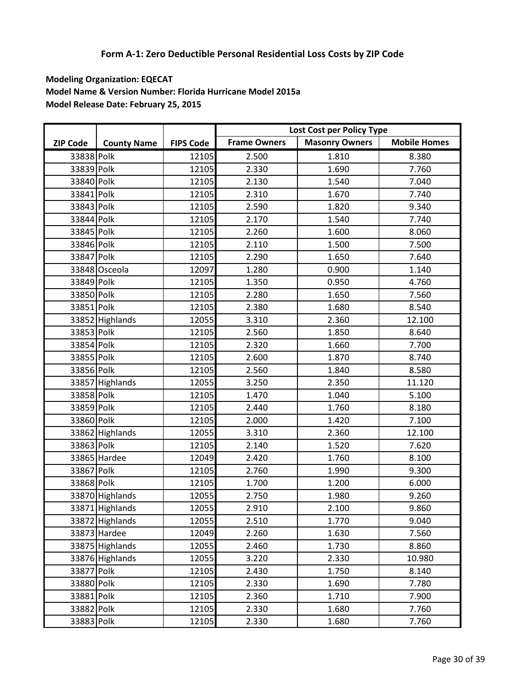|                 |                    |                  |                     | Lost Cost per Policy Type |                     |
|-----------------|--------------------|------------------|---------------------|---------------------------|---------------------|
| <b>ZIP Code</b> | <b>County Name</b> | <b>FIPS Code</b> | <b>Frame Owners</b> | <b>Masonry Owners</b>     | <b>Mobile Homes</b> |
| 33838 Polk      |                    | 12105            | 2.500               | 1.810                     | 8.380               |
| 33839 Polk      |                    | 12105            | 2.330               | 1.690                     | 7.760               |
| 33840 Polk      |                    | 12105            | 2.130               | 1.540                     | 7.040               |
| 33841 Polk      |                    | 12105            | 2.310               | 1.670                     | 7.740               |
| 33843 Polk      |                    | 12105            | 2.590               | 1.820                     | 9.340               |
| 33844 Polk      |                    | 12105            | 2.170               | 1.540                     | 7.740               |
| 33845 Polk      |                    | 12105            | 2.260               | 1.600                     | 8.060               |
| 33846 Polk      |                    | 12105            | 2.110               | 1.500                     | 7.500               |
| 33847 Polk      |                    | 12105            | 2.290               | 1.650                     | 7.640               |
|                 | 33848 Osceola      | 12097            | 1.280               | 0.900                     | 1.140               |
| 33849 Polk      |                    | 12105            | 1.350               | 0.950                     | 4.760               |
| 33850 Polk      |                    | 12105            | 2.280               | 1.650                     | 7.560               |
| 33851 Polk      |                    | 12105            | 2.380               | 1.680                     | 8.540               |
|                 | 33852 Highlands    | 12055            | 3.310               | 2.360                     | 12.100              |
| 33853 Polk      |                    | 12105            | 2.560               | 1.850                     | 8.640               |
| 33854 Polk      |                    | 12105            | 2.320               | 1.660                     | 7.700               |
| 33855 Polk      |                    | 12105            | 2.600               | 1.870                     | 8.740               |
| 33856 Polk      |                    | 12105            | 2.560               | 1.840                     | 8.580               |
|                 | 33857 Highlands    | 12055            | 3.250               | 2.350                     | 11.120              |
| 33858 Polk      |                    | 12105            | 1.470               | 1.040                     | 5.100               |
| 33859 Polk      |                    | 12105            | 2.440               | 1.760                     | 8.180               |
| 33860 Polk      |                    | 12105            | 2.000               | 1.420                     | 7.100               |
|                 | 33862 Highlands    | 12055            | 3.310               | 2.360                     | 12.100              |
| 33863 Polk      |                    | 12105            | 2.140               | 1.520                     | 7.620               |
|                 | 33865 Hardee       | 12049            | 2.420               | 1.760                     | 8.100               |
| 33867 Polk      |                    | 12105            | 2.760               | 1.990                     | 9.300               |
| 33868 Polk      |                    | 12105            | 1.700               | 1.200                     | 6.000               |
|                 | 33870 Highlands    | 12055            | 2.750               | 1.980                     | 9.260               |
|                 | 33871 Highlands    | 12055            | 2.910               | 2.100                     | 9.860               |
|                 | 33872 Highlands    | 12055            | 2.510               | 1.770                     | 9.040               |
|                 | 33873 Hardee       | 12049            | 2.260               | 1.630                     | 7.560               |
|                 | 33875 Highlands    | 12055            | 2.460               | 1.730                     | 8.860               |
|                 | 33876 Highlands    | 12055            | 3.220               | 2.330                     | 10.980              |
| 33877 Polk      |                    | 12105            | 2.430               | 1.750                     | 8.140               |
| 33880 Polk      |                    | 12105            | 2.330               | 1.690                     | 7.780               |
| 33881 Polk      |                    | 12105            | 2.360               | 1.710                     | 7.900               |
| 33882 Polk      |                    | 12105            | 2.330               | 1.680                     | 7.760               |
| 33883 Polk      |                    | 12105            | 2.330               | 1.680                     | 7.760               |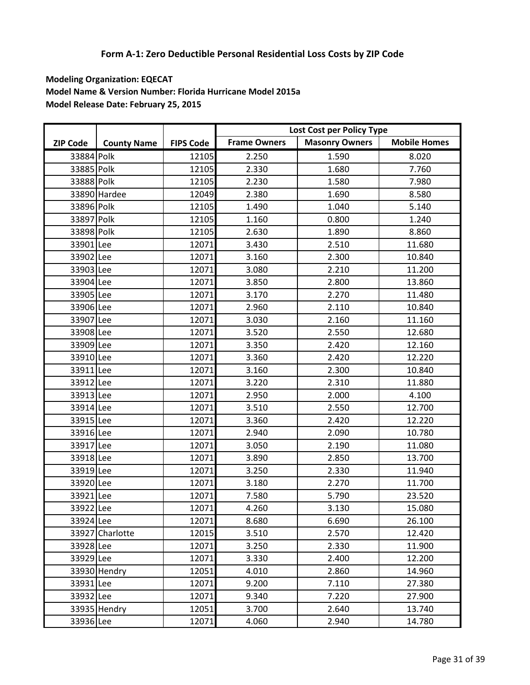|                 |                    |                  |                     | Lost Cost per Policy Type |                     |
|-----------------|--------------------|------------------|---------------------|---------------------------|---------------------|
| <b>ZIP Code</b> | <b>County Name</b> | <b>FIPS Code</b> | <b>Frame Owners</b> | <b>Masonry Owners</b>     | <b>Mobile Homes</b> |
| 33884 Polk      |                    | 12105            | 2.250               | 1.590                     | 8.020               |
| 33885 Polk      |                    | 12105            | 2.330               | 1.680                     | 7.760               |
| 33888 Polk      |                    | 12105            | 2.230               | 1.580                     | 7.980               |
|                 | 33890 Hardee       | 12049            | 2.380               | 1.690                     | 8.580               |
| 33896 Polk      |                    | 12105            | 1.490               | 1.040                     | 5.140               |
| 33897 Polk      |                    | 12105            | 1.160               | 0.800                     | 1.240               |
| 33898 Polk      |                    | 12105            | 2.630               | 1.890                     | 8.860               |
| 33901 Lee       |                    | 12071            | 3.430               | 2.510                     | 11.680              |
| 33902 Lee       |                    | 12071            | 3.160               | 2.300                     | 10.840              |
| 33903 Lee       |                    | 12071            | 3.080               | 2.210                     | 11.200              |
| 33904 Lee       |                    | 12071            | 3.850               | 2.800                     | 13.860              |
| 33905 Lee       |                    | 12071            | 3.170               | 2.270                     | 11.480              |
| 33906 Lee       |                    | 12071            | 2.960               | 2.110                     | 10.840              |
| 33907 Lee       |                    | 12071            | 3.030               | 2.160                     | 11.160              |
| 33908 Lee       |                    | 12071            | 3.520               | 2.550                     | 12.680              |
| 33909 Lee       |                    | 12071            | 3.350               | 2.420                     | 12.160              |
| 33910 Lee       |                    | 12071            | 3.360               | 2.420                     | 12.220              |
| 33911 Lee       |                    | 12071            | 3.160               | 2.300                     | 10.840              |
| 33912 Lee       |                    | 12071            | 3.220               | 2.310                     | 11.880              |
| 33913 Lee       |                    | 12071            | 2.950               | 2.000                     | 4.100               |
| 33914 Lee       |                    | 12071            | 3.510               | 2.550                     | 12.700              |
| 33915 Lee       |                    | 12071            | 3.360               | 2.420                     | 12.220              |
| 33916 Lee       |                    | 12071            | 2.940               | 2.090                     | 10.780              |
| 33917 Lee       |                    | 12071            | 3.050               | 2.190                     | 11.080              |
| 33918 Lee       |                    | 12071            | 3.890               | 2.850                     | 13.700              |
| 33919 Lee       |                    | 12071            | 3.250               | 2.330                     | 11.940              |
| 33920 Lee       |                    | 12071            | 3.180               | 2.270                     | 11.700              |
| 33921 Lee       |                    | 12071            | 7.580               | 5.790                     | 23.520              |
| 33922 Lee       |                    | 12071            | 4.260               | 3.130                     | 15.080              |
| 33924 Lee       |                    | 12071            | 8.680               | 6.690                     | 26.100              |
|                 | 33927 Charlotte    | 12015            | 3.510               | 2.570                     | 12.420              |
| 33928 Lee       |                    | 12071            | 3.250               | 2.330                     | 11.900              |
| 33929 Lee       |                    | 12071            | 3.330               | 2.400                     | 12.200              |
|                 | 33930 Hendry       | 12051            | 4.010               | 2.860                     | 14.960              |
| 33931 Lee       |                    | 12071            | 9.200               | 7.110                     | 27.380              |
| 33932 Lee       |                    | 12071            | 9.340               | 7.220                     | 27.900              |
|                 | 33935 Hendry       | 12051            | 3.700               | 2.640                     | 13.740              |
| 33936 Lee       |                    | 12071            | 4.060               | 2.940                     | 14.780              |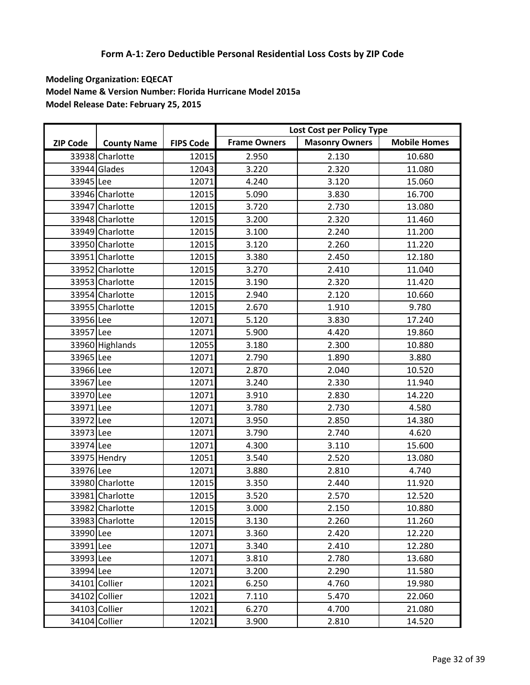|                 |                    |                  |                     | Lost Cost per Policy Type |                     |
|-----------------|--------------------|------------------|---------------------|---------------------------|---------------------|
| <b>ZIP Code</b> | <b>County Name</b> | <b>FIPS Code</b> | <b>Frame Owners</b> | <b>Masonry Owners</b>     | <b>Mobile Homes</b> |
|                 | 33938 Charlotte    | 12015            | 2.950               | 2.130                     | 10.680              |
|                 | 33944 Glades       | 12043            | 3.220               | 2.320                     | 11.080              |
| 33945 Lee       |                    | 12071            | 4.240               | 3.120                     | 15.060              |
|                 | 33946 Charlotte    | 12015            | 5.090               | 3.830                     | 16.700              |
|                 | 33947 Charlotte    | 12015            | 3.720               | 2.730                     | 13.080              |
|                 | 33948 Charlotte    | 12015            | 3.200               | 2.320                     | 11.460              |
|                 | 33949 Charlotte    | 12015            | 3.100               | 2.240                     | 11.200              |
|                 | 33950 Charlotte    | 12015            | 3.120               | 2.260                     | 11.220              |
|                 | 33951 Charlotte    | 12015            | 3.380               | 2.450                     | 12.180              |
|                 | 33952 Charlotte    | 12015            | 3.270               | 2.410                     | 11.040              |
|                 | 33953 Charlotte    | 12015            | 3.190               | 2.320                     | 11.420              |
|                 | 33954 Charlotte    | 12015            | 2.940               | 2.120                     | 10.660              |
|                 | 33955 Charlotte    | 12015            | 2.670               | 1.910                     | 9.780               |
| 33956 Lee       |                    | 12071            | 5.120               | 3.830                     | 17.240              |
| 33957 Lee       |                    | 12071            | 5.900               | 4.420                     | 19.860              |
|                 | 33960 Highlands    | 12055            | 3.180               | 2.300                     | 10.880              |
| 33965 Lee       |                    | 12071            | 2.790               | 1.890                     | 3.880               |
| 33966 Lee       |                    | 12071            | 2.870               | 2.040                     | 10.520              |
| 33967 Lee       |                    | 12071            | 3.240               | 2.330                     | 11.940              |
| 33970 Lee       |                    | 12071            | 3.910               | 2.830                     | 14.220              |
| 33971 Lee       |                    | 12071            | 3.780               | 2.730                     | 4.580               |
| 33972 Lee       |                    | 12071            | 3.950               | 2.850                     | 14.380              |
| 33973 Lee       |                    | 12071            | 3.790               | 2.740                     | 4.620               |
| 33974 Lee       |                    | 12071            | 4.300               | 3.110                     | 15.600              |
|                 | 33975 Hendry       | 12051            | 3.540               | 2.520                     | 13.080              |
| 33976 Lee       |                    | 12071            | 3.880               | 2.810                     | 4.740               |
|                 | 33980 Charlotte    | 12015            | 3.350               | 2.440                     | 11.920              |
|                 | 33981 Charlotte    | 12015            | 3.520               | 2.570                     | 12.520              |
|                 | 33982 Charlotte    | 12015            | 3.000               | 2.150                     | 10.880              |
|                 | 33983 Charlotte    | 12015            | 3.130               | 2.260                     | 11.260              |
| 33990 Lee       |                    | 12071            | 3.360               | 2.420                     | 12.220              |
| 33991 Lee       |                    | 12071            | 3.340               | 2.410                     | 12.280              |
| 33993 Lee       |                    | 12071            | 3.810               | 2.780                     | 13.680              |
| 33994 Lee       |                    | 12071            | 3.200               | 2.290                     | 11.580              |
|                 | 34101 Collier      | 12021            | 6.250               | 4.760                     | 19.980              |
|                 | 34102 Collier      | 12021            | 7.110               | 5.470                     | 22.060              |
|                 | 34103 Collier      | 12021            | 6.270               | 4.700                     | 21.080              |
|                 | 34104 Collier      | 12021            | 3.900               | 2.810                     | 14.520              |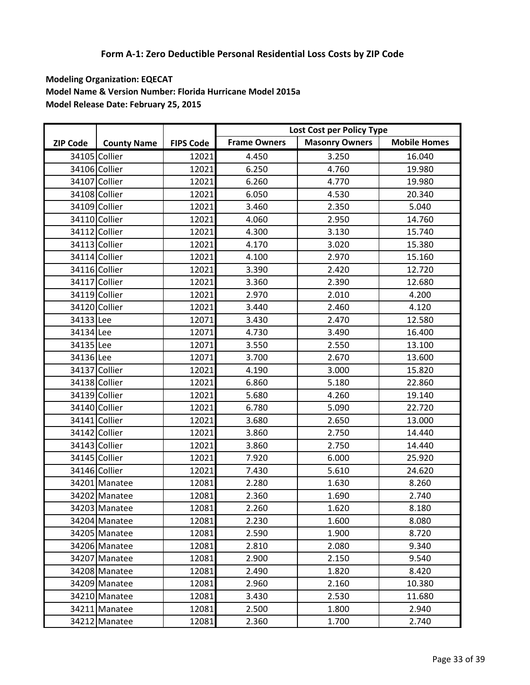|                 |                    |                  |                     | Lost Cost per Policy Type |                     |
|-----------------|--------------------|------------------|---------------------|---------------------------|---------------------|
| <b>ZIP Code</b> | <b>County Name</b> | <b>FIPS Code</b> | <b>Frame Owners</b> | <b>Masonry Owners</b>     | <b>Mobile Homes</b> |
|                 | 34105 Collier      | 12021            | 4.450               | 3.250                     | 16.040              |
|                 | 34106 Collier      | 12021            | 6.250               | 4.760                     | 19.980              |
|                 | 34107 Collier      | 12021            | 6.260               | 4.770                     | 19.980              |
|                 | 34108 Collier      | 12021            | 6.050               | 4.530                     | 20.340              |
|                 | 34109 Collier      | 12021            | 3.460               | 2.350                     | 5.040               |
|                 | 34110 Collier      | 12021            | 4.060               | 2.950                     | 14.760              |
|                 | 34112 Collier      | 12021            | 4.300               | 3.130                     | 15.740              |
|                 | 34113 Collier      | 12021            | 4.170               | 3.020                     | 15.380              |
|                 | 34114 Collier      | 12021            | 4.100               | 2.970                     | 15.160              |
|                 | 34116 Collier      | 12021            | 3.390               | 2.420                     | 12.720              |
|                 | 34117 Collier      | 12021            | 3.360               | 2.390                     | 12.680              |
|                 | 34119 Collier      | 12021            | 2.970               | 2.010                     | 4.200               |
|                 | 34120 Collier      | 12021            | 3.440               | 2.460                     | 4.120               |
| 34133 Lee       |                    | 12071            | 3.430               | 2.470                     | 12.580              |
| 34134 Lee       |                    | 12071            | 4.730               | 3.490                     | 16.400              |
| 34135 Lee       |                    | 12071            | 3.550               | 2.550                     | 13.100              |
| 34136 Lee       |                    | 12071            | 3.700               | 2.670                     | 13.600              |
|                 | 34137 Collier      | 12021            | 4.190               | 3.000                     | 15.820              |
|                 | 34138 Collier      | 12021            | 6.860               | 5.180                     | 22.860              |
|                 | 34139 Collier      | 12021            | 5.680               | 4.260                     | 19.140              |
|                 | 34140 Collier      | 12021            | 6.780               | 5.090                     | 22.720              |
|                 | 34141 Collier      | 12021            | 3.680               | 2.650                     | 13.000              |
|                 | 34142 Collier      | 12021            | 3.860               | 2.750                     | 14.440              |
|                 | 34143 Collier      | 12021            | 3.860               | 2.750                     | 14.440              |
|                 | 34145 Collier      | 12021            | 7.920               | 6.000                     | 25.920              |
|                 | 34146 Collier      | 12021            | 7.430               | 5.610                     | 24.620              |
|                 | 34201 Manatee      | 12081            | 2.280               | 1.630                     | 8.260               |
|                 | 34202 Manatee      | 12081            | 2.360               | 1.690                     | 2.740               |
|                 | 34203 Manatee      | 12081            | 2.260               | 1.620                     | 8.180               |
|                 | 34204 Manatee      | 12081            | 2.230               | 1.600                     | 8.080               |
|                 | 34205 Manatee      | 12081            | 2.590               | 1.900                     | 8.720               |
|                 | 34206 Manatee      | 12081            | 2.810               | 2.080                     | 9.340               |
|                 | 34207 Manatee      | 12081            | 2.900               | 2.150                     | 9.540               |
|                 | 34208 Manatee      | 12081            | 2.490               | 1.820                     | 8.420               |
|                 | 34209 Manatee      | 12081            | 2.960               | 2.160                     | 10.380              |
|                 | 34210 Manatee      | 12081            | 3.430               | 2.530                     | 11.680              |
|                 | 34211 Manatee      | 12081            | 2.500               | 1.800                     | 2.940               |
|                 | 34212 Manatee      | 12081            | 2.360               | 1.700                     | 2.740               |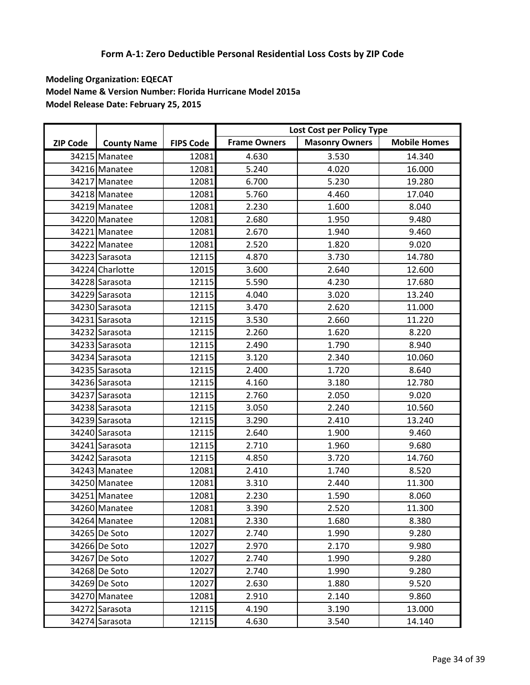|                 |                    |                  |                     | Lost Cost per Policy Type |                     |
|-----------------|--------------------|------------------|---------------------|---------------------------|---------------------|
| <b>ZIP Code</b> | <b>County Name</b> | <b>FIPS Code</b> | <b>Frame Owners</b> | <b>Masonry Owners</b>     | <b>Mobile Homes</b> |
|                 | 34215 Manatee      | 12081            | 4.630               | 3.530                     | 14.340              |
|                 | 34216 Manatee      | 12081            | 5.240               | 4.020                     | 16.000              |
|                 | 34217 Manatee      | 12081            | 6.700               | 5.230                     | 19.280              |
|                 | 34218 Manatee      | 12081            | 5.760               | 4.460                     | 17.040              |
|                 | 34219 Manatee      | 12081            | 2.230               | 1.600                     | 8.040               |
|                 | 34220 Manatee      | 12081            | 2.680               | 1.950                     | 9.480               |
|                 | 34221 Manatee      | 12081            | 2.670               | 1.940                     | 9.460               |
|                 | 34222 Manatee      | 12081            | 2.520               | 1.820                     | 9.020               |
|                 | 34223 Sarasota     | 12115            | 4.870               | 3.730                     | 14.780              |
|                 | 34224 Charlotte    | 12015            | 3.600               | 2.640                     | 12.600              |
|                 | 34228 Sarasota     | 12115            | 5.590               | 4.230                     | 17.680              |
|                 | 34229 Sarasota     | 12115            | 4.040               | 3.020                     | 13.240              |
|                 | 34230 Sarasota     | 12115            | 3.470               | 2.620                     | 11.000              |
|                 | 34231 Sarasota     | 12115            | 3.530               | 2.660                     | 11.220              |
|                 | 34232 Sarasota     | 12115            | 2.260               | 1.620                     | 8.220               |
|                 | 34233 Sarasota     | 12115            | 2.490               | 1.790                     | 8.940               |
|                 | 34234 Sarasota     | 12115            | 3.120               | 2.340                     | 10.060              |
|                 | 34235 Sarasota     | 12115            | 2.400               | 1.720                     | 8.640               |
|                 | 34236 Sarasota     | 12115            | 4.160               | 3.180                     | 12.780              |
|                 | 34237 Sarasota     | 12115            | 2.760               | 2.050                     | 9.020               |
|                 | 34238 Sarasota     | 12115            | 3.050               | 2.240                     | 10.560              |
|                 | 34239 Sarasota     | 12115            | 3.290               | 2.410                     | 13.240              |
|                 | 34240 Sarasota     | 12115            | 2.640               | 1.900                     | 9.460               |
|                 | 34241 Sarasota     | 12115            | 2.710               | 1.960                     | 9.680               |
|                 | 34242 Sarasota     | 12115            | 4.850               | 3.720                     | 14.760              |
|                 | 34243 Manatee      | 12081            | 2.410               | 1.740                     | 8.520               |
|                 | 34250 Manatee      | 12081            | 3.310               | 2.440                     | 11.300              |
|                 | 34251 Manatee      | 12081            | 2.230               | 1.590                     | 8.060               |
|                 | 34260 Manatee      | 12081            | 3.390               | 2.520                     | 11.300              |
|                 | 34264 Manatee      | 12081            | 2.330               | 1.680                     | 8.380               |
|                 | 34265 De Soto      | 12027            | 2.740               | 1.990                     | 9.280               |
|                 | 34266 De Soto      | 12027            | 2.970               | 2.170                     | 9.980               |
|                 | 34267 De Soto      | 12027            | 2.740               | 1.990                     | 9.280               |
|                 | 34268 De Soto      | 12027            | 2.740               | 1.990                     | 9.280               |
|                 | 34269 De Soto      | 12027            | 2.630               | 1.880                     | 9.520               |
|                 | 34270 Manatee      | 12081            | 2.910               | 2.140                     | 9.860               |
|                 | 34272 Sarasota     | 12115            | 4.190               | 3.190                     | 13.000              |
|                 | 34274 Sarasota     | 12115            | 4.630               | 3.540                     | 14.140              |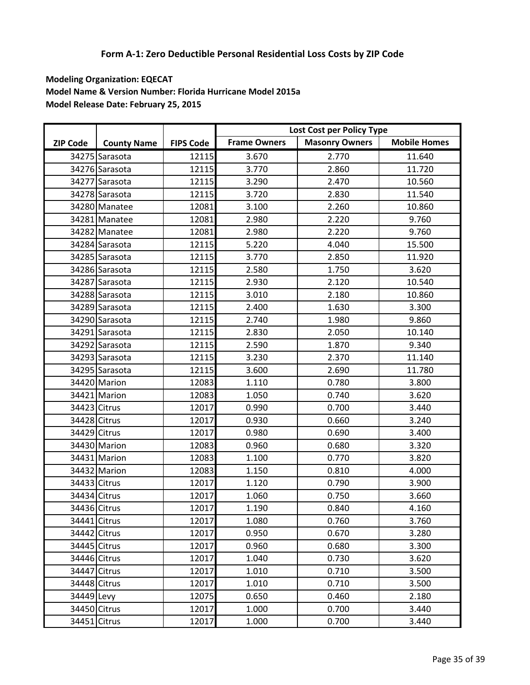|                 |                    |                  |                     | Lost Cost per Policy Type |                     |
|-----------------|--------------------|------------------|---------------------|---------------------------|---------------------|
| <b>ZIP Code</b> | <b>County Name</b> | <b>FIPS Code</b> | <b>Frame Owners</b> | <b>Masonry Owners</b>     | <b>Mobile Homes</b> |
|                 | 34275 Sarasota     | 12115            | 3.670               | 2.770                     | 11.640              |
|                 | 34276 Sarasota     | 12115            | 3.770               | 2.860                     | 11.720              |
|                 | 34277 Sarasota     | 12115            | 3.290               | 2.470                     | 10.560              |
|                 | 34278 Sarasota     | 12115            | 3.720               | 2.830                     | 11.540              |
|                 | 34280 Manatee      | 12081            | 3.100               | 2.260                     | 10.860              |
|                 | 34281 Manatee      | 12081            | 2.980               | 2.220                     | 9.760               |
|                 | 34282 Manatee      | 12081            | 2.980               | 2.220                     | 9.760               |
|                 | 34284 Sarasota     | 12115            | 5.220               | 4.040                     | 15.500              |
|                 | 34285 Sarasota     | 12115            | 3.770               | 2.850                     | 11.920              |
|                 | 34286 Sarasota     | 12115            | 2.580               | 1.750                     | 3.620               |
|                 | 34287 Sarasota     | 12115            | 2.930               | 2.120                     | 10.540              |
|                 | 34288 Sarasota     | 12115            | 3.010               | 2.180                     | 10.860              |
|                 | 34289 Sarasota     | 12115            | 2.400               | 1.630                     | 3.300               |
|                 | 34290 Sarasota     | 12115            | 2.740               | 1.980                     | 9.860               |
|                 | 34291 Sarasota     | 12115            | 2.830               | 2.050                     | 10.140              |
|                 | 34292 Sarasota     | 12115            | 2.590               | 1.870                     | 9.340               |
|                 | 34293 Sarasota     | 12115            | 3.230               | 2.370                     | 11.140              |
|                 | 34295 Sarasota     | 12115            | 3.600               | 2.690                     | 11.780              |
|                 | 34420 Marion       | 12083            | 1.110               | 0.780                     | 3.800               |
|                 | 34421 Marion       | 12083            | 1.050               | 0.740                     | 3.620               |
| 34423 Citrus    |                    | 12017            | 0.990               | 0.700                     | 3.440               |
| 34428 Citrus    |                    | 12017            | 0.930               | 0.660                     | 3.240               |
| 34429 Citrus    |                    | 12017            | 0.980               | 0.690                     | 3.400               |
|                 | 34430 Marion       | 12083            | 0.960               | 0.680                     | 3.320               |
|                 | 34431 Marion       | 12083            | 1.100               | 0.770                     | 3.820               |
|                 | 34432 Marion       | 12083            | 1.150               | 0.810                     | 4.000               |
| 34433 Citrus    |                    | 12017            | 1.120               | 0.790                     | 3.900               |
| 34434 Citrus    |                    | 12017            | 1.060               | 0.750                     | 3.660               |
|                 | 34436 Citrus       | 12017            | 1.190               | 0.840                     | 4.160               |
|                 | 34441 Citrus       | 12017            | 1.080               | 0.760                     | 3.760               |
| 34442 Citrus    |                    | 12017            | 0.950               | 0.670                     | 3.280               |
| 34445 Citrus    |                    | 12017            | 0.960               | 0.680                     | 3.300               |
| 34446 Citrus    |                    | 12017            | 1.040               | 0.730                     | 3.620               |
| 34447 Citrus    |                    | 12017            | 1.010               | 0.710                     | 3.500               |
| 34448 Citrus    |                    | 12017            | 1.010               | 0.710                     | 3.500               |
| 34449 Levy      |                    | 12075            | 0.650               | 0.460                     | 2.180               |
|                 | 34450 Citrus       | 12017            | 1.000               | 0.700                     | 3.440               |
| 34451 Citrus    |                    | 12017            | 1.000               | 0.700                     | 3.440               |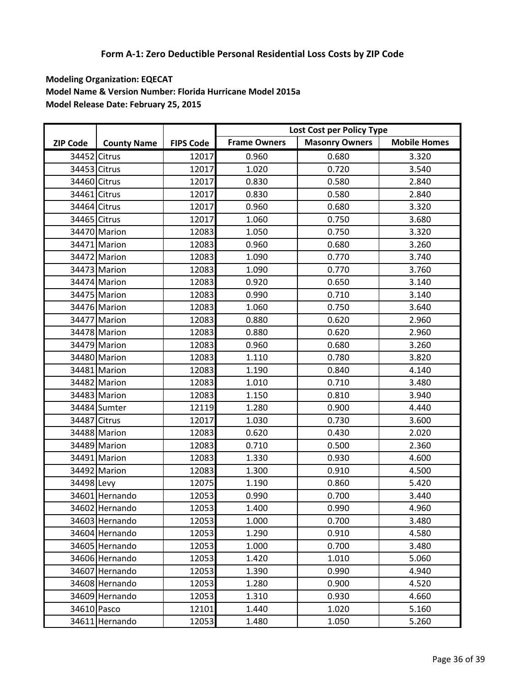|                 |                    |                  |                     | Lost Cost per Policy Type |                     |
|-----------------|--------------------|------------------|---------------------|---------------------------|---------------------|
| <b>ZIP Code</b> | <b>County Name</b> | <b>FIPS Code</b> | <b>Frame Owners</b> | <b>Masonry Owners</b>     | <b>Mobile Homes</b> |
| 34452 Citrus    |                    | 12017            | 0.960               | 0.680                     | 3.320               |
| 34453 Citrus    |                    | 12017            | 1.020               | 0.720                     | 3.540               |
| 34460 Citrus    |                    | 12017            | 0.830               | 0.580                     | 2.840               |
| 34461 Citrus    |                    | 12017            | 0.830               | 0.580                     | 2.840               |
| 34464 Citrus    |                    | 12017            | 0.960               | 0.680                     | 3.320               |
| 34465 Citrus    |                    | 12017            | 1.060               | 0.750                     | 3.680               |
|                 | 34470 Marion       | 12083            | 1.050               | 0.750                     | 3.320               |
|                 | 34471 Marion       | 12083            | 0.960               | 0.680                     | 3.260               |
|                 | 34472 Marion       | 12083            | 1.090               | 0.770                     | 3.740               |
|                 | 34473 Marion       | 12083            | 1.090               | 0.770                     | 3.760               |
|                 | 34474 Marion       | 12083            | 0.920               | 0.650                     | 3.140               |
|                 | 34475 Marion       | 12083            | 0.990               | 0.710                     | 3.140               |
|                 | 34476 Marion       | 12083            | 1.060               | 0.750                     | 3.640               |
|                 | 34477 Marion       | 12083            | 0.880               | 0.620                     | 2.960               |
|                 | 34478 Marion       | 12083            | 0.880               | 0.620                     | 2.960               |
|                 | 34479 Marion       | 12083            | 0.960               | 0.680                     | 3.260               |
|                 | 34480 Marion       | 12083            | 1.110               | 0.780                     | 3.820               |
|                 | 34481 Marion       | 12083            | 1.190               | 0.840                     | 4.140               |
|                 | 34482 Marion       | 12083            | 1.010               | 0.710                     | 3.480               |
|                 | 34483 Marion       | 12083            | 1.150               | 0.810                     | 3.940               |
|                 | 34484 Sumter       | 12119            | 1.280               | 0.900                     | 4.440               |
| 34487 Citrus    |                    | 12017            | 1.030               | 0.730                     | 3.600               |
|                 | 34488 Marion       | 12083            | 0.620               | 0.430                     | 2.020               |
|                 | 34489 Marion       | 12083            | 0.710               | 0.500                     | 2.360               |
|                 | 34491 Marion       | 12083            | 1.330               | 0.930                     | 4.600               |
|                 | 34492 Marion       | 12083            | 1.300               | 0.910                     | 4.500               |
| 34498 Levy      |                    | 12075            | 1.190               | 0.860                     | 5.420               |
|                 | 34601 Hernando     | 12053            | 0.990               | 0.700                     | 3.440               |
|                 | 34602 Hernando     | 12053            | 1.400               | 0.990                     | 4.960               |
|                 | 34603 Hernando     | 12053            | 1.000               | 0.700                     | 3.480               |
|                 | 34604 Hernando     | 12053            | 1.290               | 0.910                     | 4.580               |
|                 | 34605 Hernando     | 12053            | 1.000               | 0.700                     | 3.480               |
|                 | 34606 Hernando     | 12053            | 1.420               | 1.010                     | 5.060               |
|                 | 34607 Hernando     | 12053            | 1.390               | 0.990                     | 4.940               |
|                 | 34608 Hernando     | 12053            | 1.280               | 0.900                     | 4.520               |
|                 | 34609 Hernando     | 12053            | 1.310               | 0.930                     | 4.660               |
| 34610 Pasco     |                    | 12101            | 1.440               | 1.020                     | 5.160               |
|                 | 34611 Hernando     | 12053            | 1.480               | 1.050                     | 5.260               |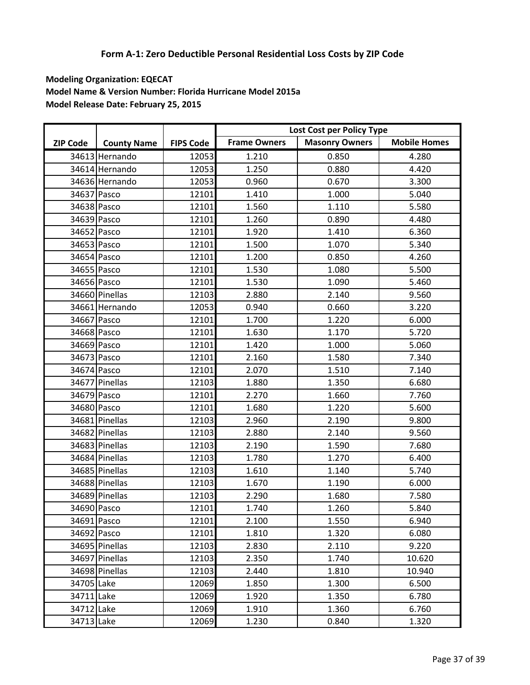|                 |                    |                  | Lost Cost per Policy Type |                       |                     |
|-----------------|--------------------|------------------|---------------------------|-----------------------|---------------------|
| <b>ZIP Code</b> | <b>County Name</b> | <b>FIPS Code</b> | <b>Frame Owners</b>       | <b>Masonry Owners</b> | <b>Mobile Homes</b> |
|                 | 34613 Hernando     | 12053            | 1.210                     | 0.850                 | 4.280               |
|                 | 34614 Hernando     | 12053            | 1.250                     | 0.880                 | 4.420               |
|                 | 34636 Hernando     | 12053            | 0.960                     | 0.670                 | 3.300               |
| 34637 Pasco     |                    | 12101            | 1.410                     | 1.000                 | 5.040               |
| 34638 Pasco     |                    | 12101            | 1.560                     | 1.110                 | 5.580               |
| 34639 Pasco     |                    | 12101            | 1.260                     | 0.890                 | 4.480               |
| 34652 Pasco     |                    | 12101            | 1.920                     | 1.410                 | 6.360               |
| 34653 Pasco     |                    | 12101            | 1.500                     | 1.070                 | 5.340               |
| 34654 Pasco     |                    | 12101            | 1.200                     | 0.850                 | 4.260               |
| 34655 Pasco     |                    | 12101            | 1.530                     | 1.080                 | 5.500               |
| 34656 Pasco     |                    | 12101            | 1.530                     | 1.090                 | 5.460               |
|                 | 34660 Pinellas     | 12103            | 2.880                     | 2.140                 | 9.560               |
|                 | 34661 Hernando     | 12053            | 0.940                     | 0.660                 | 3.220               |
| 34667 Pasco     |                    | 12101            | 1.700                     | 1.220                 | 6.000               |
| 34668 Pasco     |                    | 12101            | 1.630                     | 1.170                 | 5.720               |
| 34669 Pasco     |                    | 12101            | 1.420                     | 1.000                 | 5.060               |
| 34673 Pasco     |                    | 12101            | 2.160                     | 1.580                 | 7.340               |
| 34674 Pasco     |                    | 12101            | 2.070                     | 1.510                 | 7.140               |
|                 | 34677 Pinellas     | 12103            | 1.880                     | 1.350                 | 6.680               |
| 34679 Pasco     |                    | 12101            | 2.270                     | 1.660                 | 7.760               |
| 34680 Pasco     |                    | 12101            | 1.680                     | 1.220                 | 5.600               |
|                 | 34681 Pinellas     | 12103            | 2.960                     | 2.190                 | 9.800               |
|                 | 34682 Pinellas     | 12103            | 2.880                     | 2.140                 | 9.560               |
|                 | 34683 Pinellas     | 12103            | 2.190                     | 1.590                 | 7.680               |
|                 | 34684 Pinellas     | 12103            | 1.780                     | 1.270                 | 6.400               |
|                 | 34685 Pinellas     | 12103            | 1.610                     | 1.140                 | 5.740               |
|                 | 34688 Pinellas     | 12103            | 1.670                     | 1.190                 | 6.000               |
|                 | 34689 Pinellas     | 12103            | 2.290                     | 1.680                 | 7.580               |
| 34690 Pasco     |                    | 12101            | 1.740                     | 1.260                 | 5.840               |
| 34691 Pasco     |                    | 12101            | 2.100                     | 1.550                 | 6.940               |
| 34692 Pasco     |                    | 12101            | 1.810                     | 1.320                 | 6.080               |
|                 | 34695 Pinellas     | 12103            | 2.830                     | 2.110                 | 9.220               |
|                 | 34697 Pinellas     | 12103            | 2.350                     | 1.740                 | 10.620              |
|                 | 34698 Pinellas     | 12103            | 2.440                     | 1.810                 | 10.940              |
| 34705 Lake      |                    | 12069            | 1.850                     | 1.300                 | 6.500               |
| 34711 Lake      |                    | 12069            | 1.920                     | 1.350                 | 6.780               |
| 34712 Lake      |                    | 12069            | 1.910                     | 1.360                 | 6.760               |
| 34713 Lake      |                    | 12069            | 1.230                     | 0.840                 | 1.320               |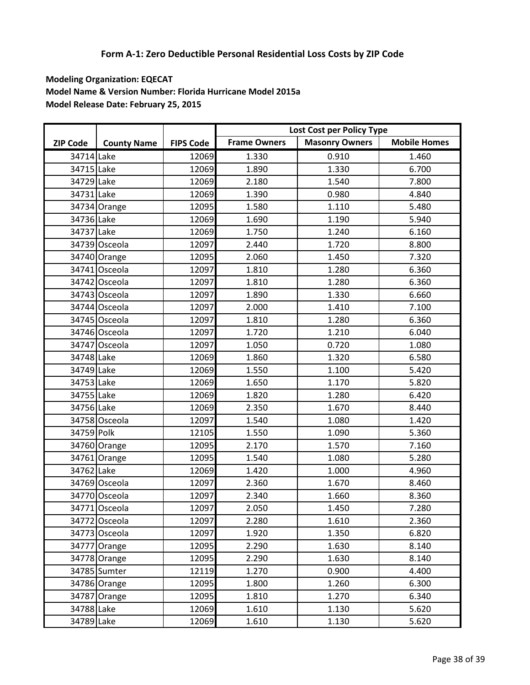|                 |                    |                  | Lost Cost per Policy Type |                       |                     |
|-----------------|--------------------|------------------|---------------------------|-----------------------|---------------------|
| <b>ZIP Code</b> | <b>County Name</b> | <b>FIPS Code</b> | <b>Frame Owners</b>       | <b>Masonry Owners</b> | <b>Mobile Homes</b> |
| 34714 Lake      |                    | 12069            | 1.330                     | 0.910                 | 1.460               |
| 34715 Lake      |                    | 12069            | 1.890                     | 1.330                 | 6.700               |
| 34729 Lake      |                    | 12069            | 2.180                     | 1.540                 | 7.800               |
| 34731 Lake      |                    | 12069            | 1.390                     | 0.980                 | 4.840               |
|                 | 34734 Orange       | 12095            | 1.580                     | 1.110                 | 5.480               |
| 34736 Lake      |                    | 12069            | 1.690                     | 1.190                 | 5.940               |
| 34737 Lake      |                    | 12069            | 1.750                     | 1.240                 | 6.160               |
|                 | 34739 Osceola      | 12097            | 2.440                     | 1.720                 | 8.800               |
|                 | 34740 Orange       | 12095            | 2.060                     | 1.450                 | 7.320               |
|                 | 34741 Osceola      | 12097            | 1.810                     | 1.280                 | 6.360               |
|                 | 34742 Osceola      | 12097            | 1.810                     | 1.280                 | 6.360               |
|                 | 34743 Osceola      | 12097            | 1.890                     | 1.330                 | 6.660               |
|                 | 34744 Osceola      | 12097            | 2.000                     | 1.410                 | 7.100               |
|                 | 34745 Osceola      | 12097            | 1.810                     | 1.280                 | 6.360               |
|                 | 34746 Osceola      | 12097            | 1.720                     | 1.210                 | 6.040               |
|                 | 34747 Osceola      | 12097            | 1.050                     | 0.720                 | 1.080               |
| 34748 Lake      |                    | 12069            | 1.860                     | 1.320                 | 6.580               |
| 34749 Lake      |                    | 12069            | 1.550                     | 1.100                 | 5.420               |
| 34753 Lake      |                    | 12069            | 1.650                     | 1.170                 | 5.820               |
| 34755 Lake      |                    | 12069            | 1.820                     | 1.280                 | 6.420               |
| 34756 Lake      |                    | 12069            | 2.350                     | 1.670                 | 8.440               |
|                 | 34758 Osceola      | 12097            | 1.540                     | 1.080                 | 1.420               |
| 34759 Polk      |                    | 12105            | 1.550                     | 1.090                 | 5.360               |
|                 | 34760 Orange       | 12095            | 2.170                     | 1.570                 | 7.160               |
|                 | 34761 Orange       | 12095            | 1.540                     | 1.080                 | 5.280               |
| 34762 Lake      |                    | 12069            | 1.420                     | 1.000                 | 4.960               |
|                 | 34769 Osceola      | 12097            | 2.360                     | 1.670                 | 8.460               |
|                 | 34770 Osceola      | 12097            | 2.340                     | 1.660                 | 8.360               |
|                 | 34771 Osceola      | 12097            | 2.050                     | 1.450                 | 7.280               |
|                 | 34772 Osceola      | 12097            | 2.280                     | 1.610                 | 2.360               |
|                 | 34773 Osceola      | 12097            | 1.920                     | 1.350                 | 6.820               |
|                 | 34777 Orange       | 12095            | 2.290                     | 1.630                 | 8.140               |
|                 | 34778 Orange       | 12095            | 2.290                     | 1.630                 | 8.140               |
|                 | 34785 Sumter       | 12119            | 1.270                     | 0.900                 | 4.400               |
|                 | 34786 Orange       | 12095            | 1.800                     | 1.260                 | 6.300               |
|                 | 34787 Orange       | 12095            | 1.810                     | 1.270                 | 6.340               |
| 34788 Lake      |                    | 12069            | 1.610                     | 1.130                 | 5.620               |
| 34789 Lake      |                    | 12069            | 1.610                     | 1.130                 | 5.620               |